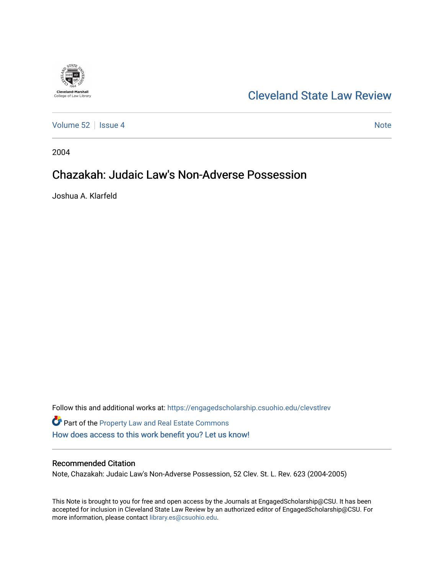

# [Cleveland State Law Review](https://engagedscholarship.csuohio.edu/clevstlrev)

[Volume 52](https://engagedscholarship.csuohio.edu/clevstlrev/vol52) Setsue 4 [Note](https://engagedscholarship.csuohio.edu/clevstlrev/vol52/iss4/8) 1 Note 1 Note 1 Note 1 Note 1 Note 1 Note 1 Note 1 Note 1 Note 1 Note 1 Note 1 Note 1 Note 1 Note 1 Note 1 Note 1 Note 1 Note 1 Note 1 Note 1 Note 1 Note 1 Note 1 Note 1 Note 1 Note 1 Note 1 Note 1

2004

# Chazakah: Judaic Law's Non-Adverse Possession

Joshua A. Klarfeld

Follow this and additional works at: [https://engagedscholarship.csuohio.edu/clevstlrev](https://engagedscholarship.csuohio.edu/clevstlrev?utm_source=engagedscholarship.csuohio.edu%2Fclevstlrev%2Fvol52%2Fiss4%2F8&utm_medium=PDF&utm_campaign=PDFCoverPages) Part of the [Property Law and Real Estate Commons](http://network.bepress.com/hgg/discipline/897?utm_source=engagedscholarship.csuohio.edu%2Fclevstlrev%2Fvol52%2Fiss4%2F8&utm_medium=PDF&utm_campaign=PDFCoverPages)  [How does access to this work benefit you? Let us know!](http://library.csuohio.edu/engaged/)

# Recommended Citation

Note, Chazakah: Judaic Law's Non-Adverse Possession, 52 Clev. St. L. Rev. 623 (2004-2005)

This Note is brought to you for free and open access by the Journals at EngagedScholarship@CSU. It has been accepted for inclusion in Cleveland State Law Review by an authorized editor of EngagedScholarship@CSU. For more information, please contact [library.es@csuohio.edu](mailto:library.es@csuohio.edu).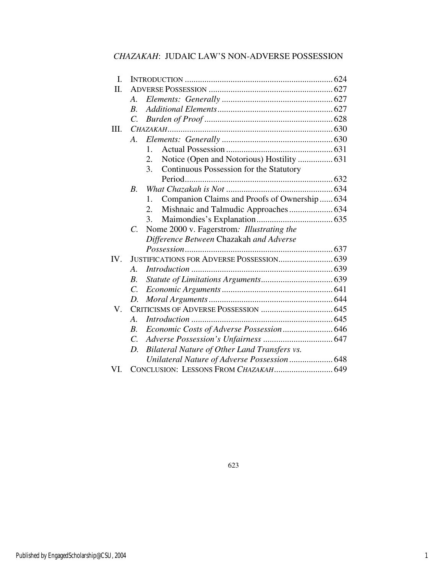# *CHAZAKAH*: JUDAIC LAW'S NON-ADVERSE POSSESSION

| I.   |                       |                                                    |
|------|-----------------------|----------------------------------------------------|
| Π.   |                       |                                                    |
|      | А.                    |                                                    |
|      | $R_{\cdot}$           |                                                    |
|      | C.                    |                                                    |
| III. |                       |                                                    |
|      | $A_{\cdot}$           |                                                    |
|      |                       | $1_{-}$                                            |
|      |                       | Notice (Open and Notorious) Hostility  631<br>2.   |
|      |                       | Continuous Possession for the Statutory<br>3.      |
|      |                       |                                                    |
|      | $B_{\cdot}$           |                                                    |
|      |                       | Companion Claims and Proofs of Ownership 634<br>1. |
|      |                       | 2.                                                 |
|      |                       | 3.                                                 |
|      | $C_{\cdot}$           | Nome 2000 v. Fagerstrom: Illustrating the          |
|      |                       | Difference Between Chazakah and Adverse            |
|      |                       |                                                    |
| IV.  |                       | JUSTIFICATIONS FOR ADVERSE POSSESSION 639          |
|      | $\mathcal{A}_{\cdot}$ |                                                    |
|      | $\boldsymbol{B}$ .    |                                                    |
|      | $\mathcal{C}$ .       |                                                    |
|      | D.                    |                                                    |
| V.   |                       |                                                    |
|      | $\mathcal{A}_{\cdot}$ |                                                    |
|      | $B_{\cdot}$           | Economic Costs of Adverse Possession 646           |
|      | $\mathcal{C}$ .       |                                                    |
|      | $D_{\cdot}$           | Bilateral Nature of Other Land Transfers vs.       |
|      |                       | Unilateral Nature of Adverse Possession 648        |
| VI.  |                       |                                                    |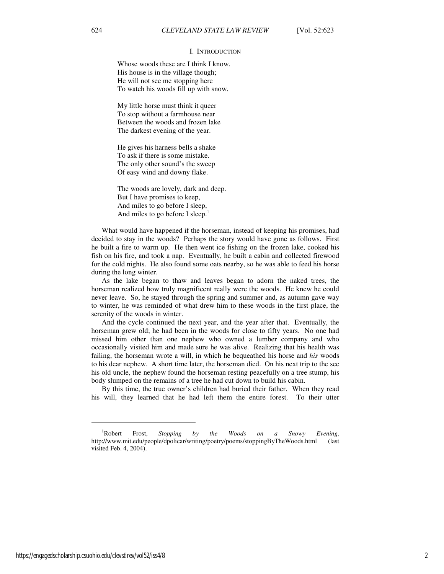#### I. INTRODUCTION

Whose woods these are I think I know. His house is in the village though; He will not see me stopping here To watch his woods fill up with snow.

My little horse must think it queer To stop without a farmhouse near Between the woods and frozen lake The darkest evening of the year.

He gives his harness bells a shake To ask if there is some mistake. The only other sound's the sweep Of easy wind and downy flake.

The woods are lovely, dark and deep. But I have promises to keep, And miles to go before I sleep, And miles to go before I sleep.<sup>1</sup>

What would have happened if the horseman, instead of keeping his promises, had decided to stay in the woods? Perhaps the story would have gone as follows. First he built a fire to warm up. He then went ice fishing on the frozen lake, cooked his fish on his fire, and took a nap. Eventually, he built a cabin and collected firewood for the cold nights. He also found some oats nearby, so he was able to feed his horse during the long winter.

As the lake began to thaw and leaves began to adorn the naked trees, the horseman realized how truly magnificent really were the woods. He knew he could never leave. So, he stayed through the spring and summer and, as autumn gave way to winter, he was reminded of what drew him to these woods in the first place, the serenity of the woods in winter.

And the cycle continued the next year, and the year after that. Eventually, the horseman grew old; he had been in the woods for close to fifty years. No one had missed him other than one nephew who owned a lumber company and who occasionally visited him and made sure he was alive. Realizing that his health was failing, the horseman wrote a will, in which he bequeathed his horse and *his* woods to his dear nephew. A short time later, the horseman died. On his next trip to the see his old uncle, the nephew found the horseman resting peacefully on a tree stump, his body slumped on the remains of a tree he had cut down to build his cabin.

By this time, the true owner's children had buried their father. When they read his will, they learned that he had left them the entire forest. To their utter

 $\overline{a}$ 

<sup>1</sup>Robert Frost, *Stopping by the Woods on a Snowy Evening*, http://www.mit.edu/people/dpolicar/writing/poetry/poems/stoppingByTheWoods.html (last visited Feb. 4, 2004).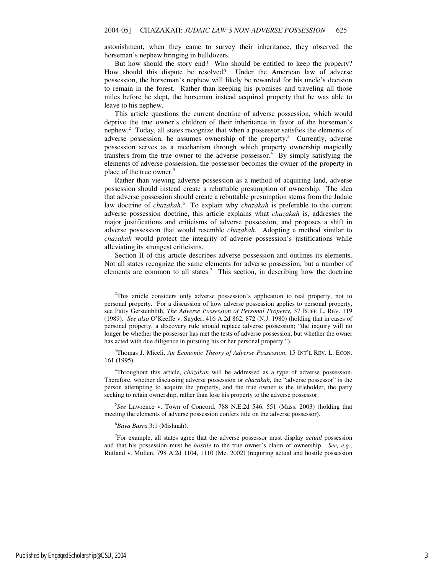astonishment, when they came to survey their inheritance, they observed the horseman's nephew bringing in bulldozers.

But how should the story end? Who should be entitled to keep the property? How should this dispute be resolved? Under the American law of adverse possession, the horseman's nephew will likely be rewarded for his uncle's decision to remain in the forest. Rather than keeping his promises and traveling all those miles before he slept, the horseman instead acquired property that he was able to leave to his nephew.

This article questions the current doctrine of adverse possession, which would deprive the true owner's children of their inheritance in favor of the horseman's nephew.<sup>2</sup> Today, all states recognize that when a possessor satisfies the elements of adverse possession, he assumes ownership of the property.<sup>3</sup> Currently, adverse possession serves as a mechanism through which property ownership magically transfers from the true owner to the adverse possessor.<sup>4</sup> By simply satisfying the elements of adverse possession, the possessor becomes the owner of the property in place of the true owner.<sup>5</sup>

Rather than viewing adverse possession as a method of acquiring land, adverse possession should instead create a rebuttable presumption of ownership. The idea that adverse possession should create a rebuttable presumption stems from the Judaic law doctrine of *chazakah*. 6 To explain why *chazakah* is preferable to the current adverse possession doctrine, this article explains what *chazakah* is, addresses the major justifications and criticisms of adverse possession, and proposes a shift in adverse possession that would resemble *chazakah*. Adopting a method similar to *chazakah* would protect the integrity of adverse possession's justifications while alleviating its strongest criticisms.

Section II of this article describes adverse possession and outlines its elements. Not all states recognize the same elements for adverse possession, but a number of elements are common to all states.<sup>7</sup> This section, in describing how the doctrine

<sup>3</sup>Thomas J. Miceli, *An Economic Theory of Adverse Possession*, 15 INT'L REV. L. ECON. 161 (1995).

<sup>4</sup>Throughout this article, *chazakah* will be addressed as a type of adverse possession. Therefore, whether discussing adverse possession or *chazakah*, the "adverse possessor" is the person attempting to acquire the property, and the true owner is the titleholder, the party seeking to retain ownership, rather than lose his property to the adverse possessor.

5 *See* Lawrence v. Town of Concord, 788 N.E.2d 546, 551 (Mass. 2003) (holding that meeting the elements of adverse possession confers title on the adverse possessor).

<sup>6</sup>*Bava Basra* 3:1 (Mishnah).

j

7 For example, all states agree that the adverse possessor must display *actual* possession and that his possession must be *hostile* to the true owner's claim of ownership. *See, e.g.,*  Rutland v. Mullen, 798 A.2d 1104, 1110 (Me. 2002) (requiring actual and hostile possession

<sup>&</sup>lt;sup>2</sup>This article considers only adverse possession's application to real property, not to personal property. For a discussion of how adverse possession applies to personal property, see Patty Gerstenblith, *The Adverse Possession of Personal Property*, 37 BUFF. L. REV. 119 (1989). *See also* O'Keeffe v. Snyder, 416 A.2d 862, 872 (N.J. 1980) (holding that in cases of personal property, a discovery rule should replace adverse possession; "the inquiry will no longer be whether the possessor has met the tests of adverse possession, but whether the owner has acted with due diligence in pursuing his or her personal property.").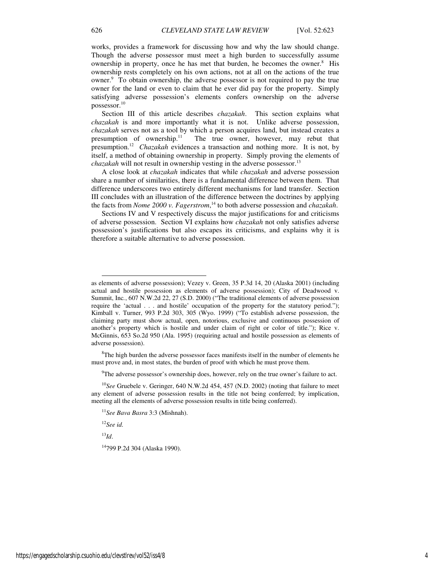works, provides a framework for discussing how and why the law should change. Though the adverse possessor must meet a high burden to successfully assume ownership in property, once he has met that burden, he becomes the owner.<sup>8</sup> His ownership rests completely on his own actions, not at all on the actions of the true owner.<sup>9</sup> To obtain ownership, the adverse possessor is not required to pay the true owner for the land or even to claim that he ever did pay for the property. Simply satisfying adverse possession's elements confers ownership on the adverse possessor.<sup>10</sup>

Section III of this article describes *chazakah*. This section explains what *chazakah* is and more importantly what it is not. Unlike adverse possession, *chazakah* serves not as a tool by which a person acquires land, but instead creates a presumption of ownership. $\frac{11}{11}$  The true owner, however, may rebut that presumption.<sup>12</sup> *Chazakah* evidences a transaction and nothing more. It is not, by itself, a method of obtaining ownership in property. Simply proving the elements of *chazakah* will not result in ownership vesting in the adverse possessor.<sup>13</sup>

A close look at *chazakah* indicates that while *chazakah* and adverse possession share a number of similarities, there is a fundamental difference between them. That difference underscores two entirely different mechanisms for land transfer. Section III concludes with an illustration of the difference between the doctrines by applying the facts from *Nome 2000 v. Fagerstrom*, <sup>14</sup> to both adverse possession and *chazakah*.

Sections IV and V respectively discuss the major justifications for and criticisms of adverse possession. Section VI explains how *chazakah* not only satisfies adverse possession's justifications but also escapes its criticisms, and explains why it is therefore a suitable alternative to adverse possession.

 ${}^{8}$ The high burden the adverse possessor faces manifests itself in the number of elements he must prove and, in most states, the burden of proof with which he must prove them.

 $9$ The adverse possessor's ownership does, however, rely on the true owner's failure to act.

<sup>10</sup>See Gruebele v. Geringer, 640 N.W.2d 454, 457 (N.D. 2002) (noting that failure to meet any element of adverse possession results in the title not being conferred; by implication, meeting all the elements of adverse possession results in title being conferred).

<sup>12</sup>*See id.*

<sup>13</sup>*Id*.

-

<sup>14</sup>799 P.2d 304 (Alaska 1990).

as elements of adverse possession); Vezey v. Green, 35 P.3d 14, 20 (Alaska 2001) (including actual and hostile possession as elements of adverse possession); City of Deadwood v. Summit, Inc*.*, 607 N.W.2d 22, 27 (S.D. 2000) ("The traditional elements of adverse possession require the 'actual . . . and hostile' occupation of the property for the statutory period."); Kimball v. Turner, 993 P.2d 303, 305 (Wyo. 1999) ("To establish adverse possession, the claiming party must show actual, open, notorious, exclusive and continuous possession of another's property which is hostile and under claim of right or color of title."); Rice v. McGinnis, 653 So.2d 950 (Ala. 1995) (requiring actual and hostile possession as elements of adverse possession).

<sup>11</sup>*See Bava Basra* 3:3 (Mishnah).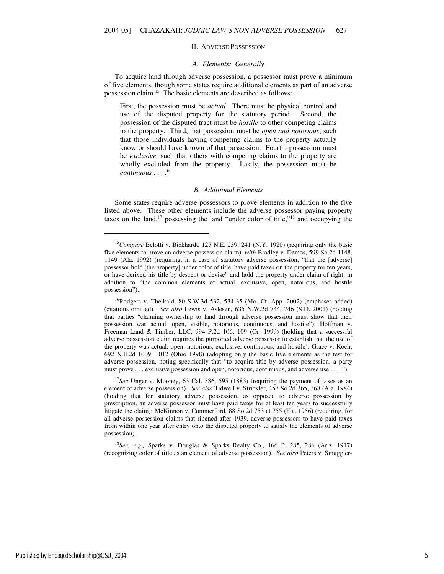#### II. ADVERSE POSSESSION

#### *A. Elements: Generally*

To acquire land through adverse possession, a possessor must prove a minimum of five elements, though some states require additional elements as part of an adverse possession claim.<sup>15</sup> The basic elements are described as follows:

First, the possession must be *actual*. There must be physical control and use of the disputed property for the statutory period. Second, the possession of the disputed tract must be *hostile* to other competing claims to the property. Third, that possession must be *open and notorious*, such that those individuals having competing claims to the property actually know or should have known of that possession. Fourth, possession must be *exclusive*, such that others with competing claims to the property are wholly excluded from the property. Lastly, the possession must be *continuous* . . . . 16

#### *B. Additional Elements*

Some states require adverse possessors to prove elements in addition to the five listed above. These other elements include the adverse possessor paying property taxes on the land,<sup>17</sup> possessing the land "under color of title,"<sup>18</sup> and occupying the

<sup>17</sup>See Unger v. Mooney, 63 Cal. 586, 595 (1883) (requiring the payment of taxes as an element of adverse possession). *See also* Tidwell v. Strickler, 457 So.2d 365, 368 (Ala. 1984) (holding that for statutory adverse possession, as opposed to adverse possession by prescription, an adverse possessor must have paid taxes for at least ten years to successfully litigate the claim); McKinnon v. Commerford, 88 So.2d 753 at 755 (Fla. 1956) (requiring, for all adverse possession claims that ripened after 1939, adverse possessors to have paid taxes from within one year after entry onto the disputed property to satisfy the elements of adverse possession).

<sup>18</sup>*See, e.g.,* Sparks v. Douglas & Sparks Realty Co., 166 P. 285, 286 (Ariz. 1917) (recognizing color of title as an element of adverse possession). *See also* Peters v. Smuggler-

 $\overline{a}$ 

<sup>&</sup>lt;sup>15</sup>Compare Belotti v. Bickhardt, 127 N.E. 239, 241 (N.Y. 1920) (requiring only the basic five elements to prove an adverse possession claim), *with* Bradley v. Demos, 599 So.2d 1148, 1149 (Ala. 1992) (requiring, in a case of statutory adverse possession, "that the [adverse] possessor hold [the property] under color of title, have paid taxes on the property for ten years, or have derived his title by descent or devise" and hold the property under claim of right, in addition to "the common elements of actual, exclusive, open, notorious, and hostile possession").

 $^{16}$ Rodgers v. Thelkald, 80 S.W.3d 532, 534-35 (Mo. Ct. App. 2002) (emphases added) (citations omitted). *See also* Lewis v. Aslesen, 635 N.W.2d 744, 746 (S.D. 2001) (holding that parties "claiming ownership to land through adverse possession must show that their possession was actual, open, visible, notorious, continuous, and hostile"); Hoffman v. Freeman Land & Timber, LLC, 994 P.2d 106, 109 (Or. 1999) (holding that a successful adverse possession claim requires the purported adverse possessor to establish that the use of the property was actual, open, notorious, exclusive, continuous, and hostile); Grace v. Koch, 692 N.E.2d 1009, 1012 (Ohio 1998) (adopting only the basic five elements as the test for adverse possession, noting specifically that "to acquire title by adverse possession, a party must prove . . . exclusive possession and open, notorious, continuous, and adverse use . . . .").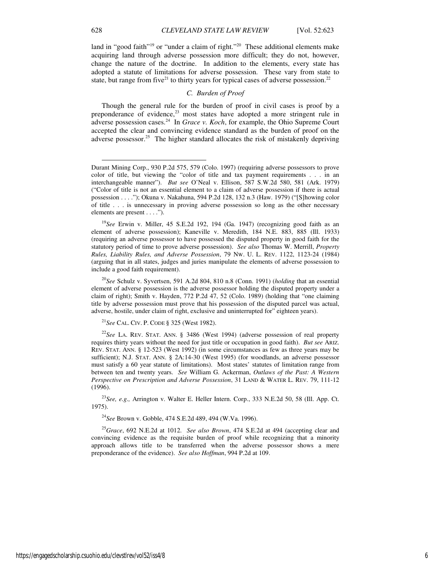land in "good faith"<sup>19</sup> or "under a claim of right."<sup>20</sup> These additional elements make acquiring land through adverse possession more difficult; they do not, however, change the nature of the doctrine. In addition to the elements, every state has adopted a statute of limitations for adverse possession. These vary from state to state, but range from five<sup>21</sup> to thirty years for typical cases of adverse possession.<sup>22</sup>

# *C. Burden of Proof*

Though the general rule for the burden of proof in civil cases is proof by a preponderance of evidence,<sup>23</sup> most states have adopted a more stringent rule in adverse possession cases.<sup>24</sup> In *Grace v. Koch*, for example, the Ohio Supreme Court accepted the clear and convincing evidence standard as the burden of proof on the adverse possessor.<sup>25</sup> The higher standard allocates the risk of mistakenly depriving

<sup>21</sup>*See* CAL. CIV. P. CODE § 325 (West 1982).

<sup>22</sup>*See* LA. REV. STAT. ANN. § 3486 (West 1994) (adverse possession of real property requires thirty years without the need for just title or occupation in good faith). *But see* ARIZ. REV. STAT. ANN. § 12-523 (West 1992) (in some circumstances as few as three years may be sufficient); N.J. STAT. ANN. § 2A:14-30 (West 1995) (for woodlands, an adverse possessor must satisfy a 60 year statute of limitations). Most states' statutes of limitation range from between ten and twenty years. *See* William G. Ackerman, *Outlaws of the Past: A Western Perspective on Prescription and Adverse Possession*, 31 LAND & WATER L. REV. 79, 111-12 (1996).

<sup>23</sup>*See, e.g.,* Arrington v. Walter E. Heller Intern. Corp., 333 N.E.2d 50, 58 (Ill. App. Ct. 1975).

<sup>24</sup>*See* Brown v. Gobble, 474 S.E.2d 489, 494 (W.Va. 1996).

<sup>25</sup>*Grace*, 692 N.E.2d at 1012. *See also Brown*, 474 S.E.2d at 494 (accepting clear and convincing evidence as the requisite burden of proof while recognizing that a minority approach allows title to be transferred when the adverse possessor shows a mere preponderance of the evidence). *See also Hoffman*, 994 P.2d at 109.

j

Durant Mining Corp., 930 P.2d 575, 579 (Colo. 1997) (requiring adverse possessors to prove color of title, but viewing the "color of title and tax payment requirements . . . in an interchangeable manner"). *But see* O'Neal v. Ellison, 587 S.W.2d 580, 581 (Ark. 1979) ("Color of title is not an essential element to a claim of adverse possession if there is actual possession . . . ."); Okuna v. Nakahuna, 594 P.2d 128, 132 n.3 (Haw. 1979) ("[S]howing color of title . . . is unnecessary in proving adverse possession so long as the other necessary elements are present . . . .").

<sup>19</sup>*See* Erwin v. Miller, 45 S.E.2d 192, 194 (Ga. 1947) (recognizing good faith as an element of adverse possession); Kaneville v. Meredith, 184 N.E. 883, 885 (Ill. 1933) (requiring an adverse possessor to have possessed the disputed property in good faith for the statutory period of time to prove adverse possession). *See also* Thomas W. Merrill, *Property Rules, Liability Rules, and Adverse Possession*, 79 NW. U. L. REV. 1122, 1123-24 (1984) (arguing that in all states, judges and juries manipulate the elements of adverse possession to include a good faith requirement).

<sup>20</sup>*See* Schulz v. Syvertsen, 591 A.2d 804, 810 n.8 (Conn. 1991) (*holding* that an essential element of adverse possession is the adverse possessor holding the disputed property under a claim of right); Smith v. Hayden, 772 P.2d 47, 52 (Colo. 1989) (holding that "one claiming title by adverse possession must prove that his possession of the disputed parcel was actual, adverse, hostile, under claim of right, exclusive and uninterrupted for" eighteen years).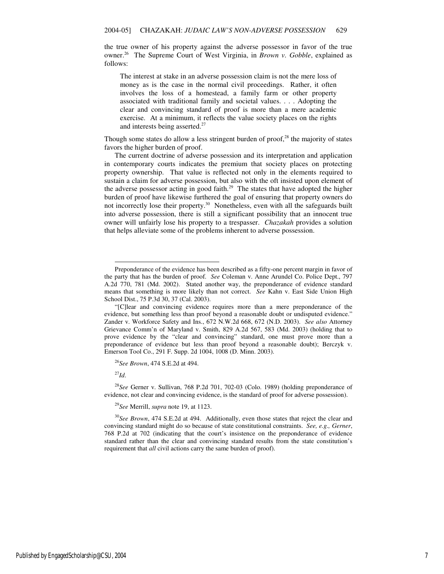the true owner of his property against the adverse possessor in favor of the true owner.<sup>26</sup> The Supreme Court of West Virginia, in *Brown v. Gobble*, explained as follows:

The interest at stake in an adverse possession claim is not the mere loss of money as is the case in the normal civil proceedings. Rather, it often involves the loss of a homestead, a family farm or other property associated with traditional family and societal values. . . . Adopting the clear and convincing standard of proof is more than a mere academic exercise. At a minimum, it reflects the value society places on the rights and interests being asserted.<sup>27</sup>

Though some states do allow a less stringent burden of proof, $28$  the majority of states favors the higher burden of proof.

The current doctrine of adverse possession and its interpretation and application in contemporary courts indicates the premium that society places on protecting property ownership. That value is reflected not only in the elements required to sustain a claim for adverse possession, but also with the oft insisted upon element of the adverse possessor acting in good faith.<sup>29</sup> The states that have adopted the higher burden of proof have likewise furthered the goal of ensuring that property owners do not incorrectly lose their property.<sup>30</sup> Nonetheless, even with all the safeguards built into adverse possession, there is still a significant possibility that an innocent true owner will unfairly lose his property to a trespasser. *Chazakah* provides a solution that helps alleviate some of the problems inherent to adverse possession.

<sup>27</sup>*Id*.

-

<sup>28</sup>*See* Gerner v. Sullivan, 768 P.2d 701, 702-03 (Colo. 1989) (holding preponderance of evidence, not clear and convincing evidence, is the standard of proof for adverse possession).

<sup>29</sup>*See* Merrill, *supra* note 19, at 1123.

<sup>30</sup>*See Brown*, 474 S.E.2d at 494. Additionally, even those states that reject the clear and convincing standard might do so because of state constitutional constraints. *See, e.g., Gerner*, 768 P.2d at 702 (indicating that the court's insistence on the preponderance of evidence standard rather than the clear and convincing standard results from the state constitution's requirement that *all* civil actions carry the same burden of proof).

Preponderance of the evidence has been described as a fifty-one percent margin in favor of the party that has the burden of proof. *See* Coleman v. Anne Arundel Co. Police Dept., 797 A.2d 770, 781 (Md. 2002). Stated another way, the preponderance of evidence standard means that something is more likely than not correct. *See* Kahn v. East Side Union High School Dist., 75 P.3d 30, 37 (Cal. 2003).

<sup>&</sup>quot;[C]lear and convincing evidence requires more than a mere preponderance of the evidence, but something less than proof beyond a reasonable doubt or undisputed evidence." Zander v. Workforce Safety and Ins., 672 N.W.2d 668, 672 (N.D. 2003). *See also* Attorney Grievance Comm'n of Maryland v. Smith, 829 A.2d 567, 583 (Md. 2003) (holding that to prove evidence by the "clear and convincing" standard, one must prove more than a preponderance of evidence but less than proof beyond a reasonable doubt); Berczyk v. Emerson Tool Co., 291 F. Supp. 2d 1004, 1008 (D. Minn. 2003).

<sup>26</sup>*See Brown*, 474 S.E.2d at 494.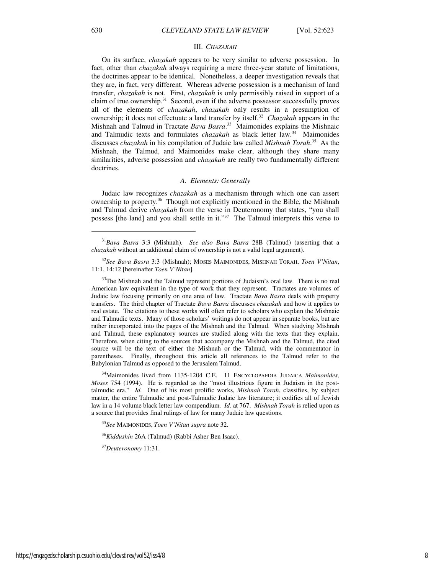#### III. *CHAZAKAH*

On its surface, *chazakah* appears to be very similar to adverse possession. In fact, other than *chazakah* always requiring a mere three-year statute of limitations, the doctrines appear to be identical. Nonetheless, a deeper investigation reveals that they are, in fact, very different. Whereas adverse possession is a mechanism of land transfer, *chazakah* is not. First, *chazakah* is only permissibly raised in support of a claim of true ownership. $31$  Second, even if the adverse possessor successfully proves all of the elements of *chazakah*, *chazakah* only results in a presumption of ownership; it does not effectuate a land transfer by itself.<sup>32</sup> *Chazakah* appears in the Mishnah and Talmud in Tractate *Bava Basra*. <sup>33</sup> Maimonides explains the Mishnaic and Talmudic texts and formulates *chazakah* as black letter law.<sup>34</sup> Maimonides discusses *chazakah* in his compilation of Judaic law called *Mishnah Torah*. <sup>35</sup> As the Mishnah, the Talmud, and Maimonides make clear, although they share many similarities, adverse possession and *chazakah* are really two fundamentally different doctrines.

#### *A. Elements: Generally*

Judaic law recognizes *chazakah* as a mechanism through which one can assert ownership to property.<sup>36</sup> Though not explicitly mentioned in the Bible, the Mishnah and Talmud derive *chazakah* from the verse in Deuteronomy that states, "you shall possess [the land] and you shall settle in it."<sup>37</sup> The Talmud interprets this verse to

<sup>33</sup>The Mishnah and the Talmud represent portions of Judaism's oral law. There is no real American law equivalent in the type of work that they represent. Tractates are volumes of Judaic law focusing primarily on one area of law. Tractate *Bava Basra* deals with property transfers. The third chapter of Tractate *Bava Basra* discusses *chazakah* and how it applies to real estate. The citations to these works will often refer to scholars who explain the Mishnaic and Talmudic texts. Many of those scholars' writings do not appear in separate books, but are rather incorporated into the pages of the Mishnah and the Talmud. When studying Mishnah and Talmud, these explanatory sources are studied along with the texts that they explain. Therefore, when citing to the sources that accompany the Mishnah and the Talmud, the cited source will be the text of either the Mishnah or the Talmud, with the commentator in parentheses. Finally, throughout this article all references to the Talmud refer to the Babylonian Talmud as opposed to the Jerusalem Talmud.

<sup>34</sup>Maimonides lived from 1135-1204 C.E. 11 ENCYCLOPAEDIA JUDAICA *Maimonides, Moses* 754 (1994). He is regarded as the "most illustrious figure in Judaism in the posttalmudic era." *Id.* One of his most prolific works, *Mishnah Torah*, classifies, by subject matter, the entire Talmudic and post-Talmudic Judaic law literature; it codifies all of Jewish law in a 14 volume black letter law compendium. *Id.* at 767. *Mishnah Torah* is relied upon as a source that provides final rulings of law for many Judaic law questions.

<sup>35</sup>*See* MAIMONIDES, *Toen V'Nitan supra* note 32.

<sup>36</sup>*Kiddushin* 26A (Talmud) (Rabbi Asher Ben Isaac).

<sup>37</sup>*Deuteronomy* 11:31.

 $\overline{a}$ 

<sup>31</sup>*Bava Basra* 3:3 (Mishnah). *See also Bava Basra* 28B (Talmud) (asserting that a *chazakah* without an additional claim of ownership is not a valid legal argument).

<sup>32</sup>*See Bava Basra* 3:3 (Mishnah); MOSES MAIMONIDES, MISHNAH TORAH, *Toen V'Nitan*, 11:1, 14:12 [hereinafter *Toen V'Nitan*].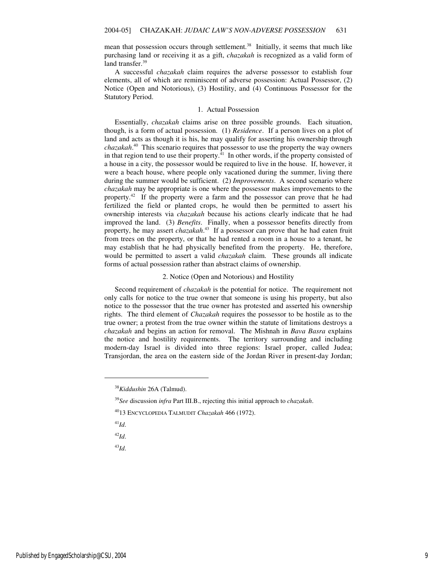mean that possession occurs through settlement.<sup>38</sup> Initially, it seems that much like purchasing land or receiving it as a gift, *chazakah* is recognized as a valid form of land transfer.<sup>39</sup>

A successful *chazakah* claim requires the adverse possessor to establish four elements, all of which are reminiscent of adverse possession: Actual Possessor, (2) Notice (Open and Notorious), (3) Hostility, and (4) Continuous Possessor for the Statutory Period.

#### 1. Actual Possession

Essentially, *chazakah* claims arise on three possible grounds. Each situation, though, is a form of actual possession. (1) *Residence*. If a person lives on a plot of land and acts as though it is his, he may qualify for asserting his ownership through *chazakah*. <sup>40</sup> This scenario requires that possessor to use the property the way owners in that region tend to use their property. $^{41}$  In other words, if the property consisted of a house in a city, the possessor would be required to live in the house. If, however, it were a beach house, where people only vacationed during the summer, living there during the summer would be sufficient. (2) *Improvements*. A second scenario where *chazakah* may be appropriate is one where the possessor makes improvements to the property.<sup>42</sup> If the property were a farm and the possessor can prove that he had fertilized the field or planted crops, he would then be permitted to assert his ownership interests via *chazakah* because his actions clearly indicate that he had improved the land. (3) *Benefits*. Finally, when a possessor benefits directly from property, he may assert *chazakah*. <sup>43</sup> If a possessor can prove that he had eaten fruit from trees on the property, or that he had rented a room in a house to a tenant, he may establish that he had physically benefited from the property. He, therefore, would be permitted to assert a valid *chazakah* claim. These grounds all indicate forms of actual possession rather than abstract claims of ownership.

#### 2. Notice (Open and Notorious) and Hostility

Second requirement of *chazakah* is the potential for notice. The requirement not only calls for notice to the true owner that someone is using his property, but also notice to the possessor that the true owner has protested and asserted his ownership rights. The third element of *Chazakah* requires the possessor to be hostile as to the true owner; a protest from the true owner within the statute of limitations destroys a *chazakah* and begins an action for removal. The Mishnah in *Bava Basra* explains the notice and hostility requirements. The territory surrounding and including modern-day Israel is divided into three regions: Israel proper, called Judea; Transjordan, the area on the eastern side of the Jordan River in present-day Jordan;

<sup>41</sup>*Id*.

j

<sup>42</sup>*Id*.

<sup>43</sup>*Id*.

<sup>38</sup>*Kiddushin* 26A (Talmud).

<sup>39</sup>*See* discussion *infra* Part III.B., rejecting this initial approach to *chazakah*.

<sup>40</sup>13 ENCYCLOPEDIA TALMUDIT *Chazakah* 466 (1972).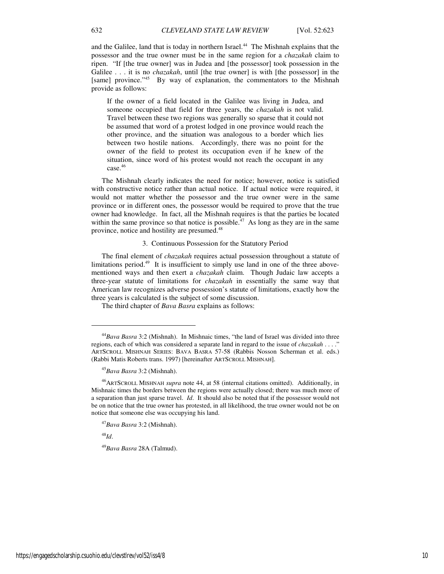and the Galilee, land that is today in northern Israel.<sup>44</sup> The Mishnah explains that the possessor and the true owner must be in the same region for a *chazakah* claim to ripen. "If [the true owner] was in Judea and [the possessor] took possession in the Galilee . . . it is no *chazakah*, until [the true owner] is with [the possessor] in the [same] province."<sup>45</sup> By way of explanation, the commentators to the Mishnah provide as follows:

If the owner of a field located in the Galilee was living in Judea, and someone occupied that field for three years, the *chazakah* is not valid. Travel between these two regions was generally so sparse that it could not be assumed that word of a protest lodged in one province would reach the other province, and the situation was analogous to a border which lies between two hostile nations. Accordingly, there was no point for the owner of the field to protest its occupation even if he knew of the situation, since word of his protest would not reach the occupant in any case.<sup>46</sup>

The Mishnah clearly indicates the need for notice; however, notice is satisfied with constructive notice rather than actual notice. If actual notice were required, it would not matter whether the possessor and the true owner were in the same province or in different ones, the possessor would be required to prove that the true owner had knowledge. In fact, all the Mishnah requires is that the parties be located within the same province so that notice is possible.<sup> $47$ </sup> As long as they are in the same province, notice and hostility are presumed.<sup>48</sup>

#### 3. Continuous Possession for the Statutory Period

The final element of *chazakah* requires actual possession throughout a statute of limitations period.<sup>49</sup> It is insufficient to simply use land in one of the three abovementioned ways and then exert a *chazakah* claim. Though Judaic law accepts a three-year statute of limitations for *chazakah* in essentially the same way that American law recognizes adverse possession's statute of limitations, exactly how the three years is calculated is the subject of some discussion.

The third chapter of *Bava Basra* explains as follows:

<sup>48</sup>*Id*.

1

<sup>49</sup>*Bava Basra* 28A (Talmud).

<sup>44</sup>*Bava Basra* 3:2 (Mishnah). In Mishnaic times, "the land of Israel was divided into three regions, each of which was considered a separate land in regard to the issue of *chazakah* . . . .<sup>"</sup> ARTSCROLL MISHNAH SERIES: BAVA BASRA 57-58 (Rabbis Nosson Scherman et al. eds.) (Rabbi Matis Roberts trans. 1997) [hereinafter ARTSCROLL MISHNAH].

<sup>45</sup>*Bava Basra* 3:2 (Mishnah).

<sup>46</sup>ARTSCROLL MISHNAH *supra* note 44, at 58 (internal citations omitted). Additionally, in Mishnaic times the borders between the regions were actually closed; there was much more of a separation than just sparse travel. *Id*. It should also be noted that if the possessor would not be on notice that the true owner has protested, in all likelihood, the true owner would not be on notice that someone else was occupying his land.

<sup>47</sup>*Bava Basra* 3:2 (Mishnah).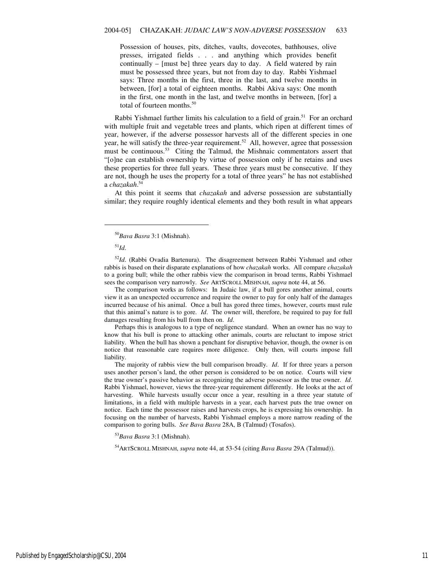Possession of houses, pits, ditches, vaults, dovecotes, bathhouses, olive presses, irrigated fields . . . and anything which provides benefit continually – [must be] three years day to day. A field watered by rain must be possessed three years, but not from day to day. Rabbi Yishmael says: Three months in the first, three in the last, and twelve months in between, [for] a total of eighteen months. Rabbi Akiva says: One month in the first, one month in the last, and twelve months in between, [for] a total of fourteen months.<sup>50</sup>

Rabbi Yishmael further limits his calculation to a field of grain.<sup>51</sup> For an orchard with multiple fruit and vegetable trees and plants, which ripen at different times of year, however, if the adverse possessor harvests all of the different species in one year, he will satisfy the three-year requirement.<sup>52</sup> All, however, agree that possession must be continuous.<sup>53</sup> Citing the Talmud, the Mishnaic commentators assert that "[o]ne can establish ownership by virtue of possession only if he retains and uses these properties for three full years. These three years must be consecutive. If they are not, though he uses the property for a total of three years" he has not established a *chazakah*. 54

At this point it seems that *chazakah* and adverse possession are substantially similar; they require roughly identical elements and they both result in what appears

<sup>51</sup>*Id*.

 $\overline{a}$ 

<sup>52</sup>Id. (Rabbi Ovadia Bartenura). The disagreement between Rabbi Yishmael and other rabbis is based on their disparate explanations of how *chazakah* works. All compare *chazakah* to a goring bull; while the other rabbis view the comparison in broad terms, Rabbi Yishmael sees the comparison very narrowly. *See* ARTSCROLL MISHNAH, *supra* note 44, at 56.

The comparison works as follows: In Judaic law, if a bull gores another animal, courts view it as an unexpected occurrence and require the owner to pay for only half of the damages incurred because of his animal. Once a bull has gored three times, however, courts must rule that this animal's nature is to gore. *Id*. The owner will, therefore, be required to pay for full damages resulting from his bull from then on. *Id*.

Perhaps this is analogous to a type of negligence standard. When an owner has no way to know that his bull is prone to attacking other animals, courts are reluctant to impose strict liability. When the bull has shown a penchant for disruptive behavior, though, the owner is on notice that reasonable care requires more diligence. Only then, will courts impose full liability.

The majority of rabbis view the bull comparison broadly. *Id*. If for three years a person uses another person's land, the other person is considered to be on notice. Courts will view the true owner's passive behavior as recognizing the adverse possessor as the true owner. *Id*. Rabbi Yishmael, however, views the three-year requirement differently. He looks at the act of harvesting. While harvests usually occur once a year, resulting in a three year statute of limitations, in a field with multiple harvests in a year, each harvest puts the true owner on notice. Each time the possessor raises and harvests crops, he is expressing his ownership. In focusing on the number of harvests, Rabbi Yishmael employs a more narrow reading of the comparison to goring bulls. *See Bava Basra* 28A, B (Talmud) (Tosafos).

<sup>53</sup>*Bava Basra* 3:1 (Mishnah).

<sup>54</sup>ARTSCROLL MISHNAH, *supra* note 44, at 53-54 (citing *Bava Basra* 29A (Talmud)).

<sup>50</sup>*Bava Basra* 3:1 (Mishnah).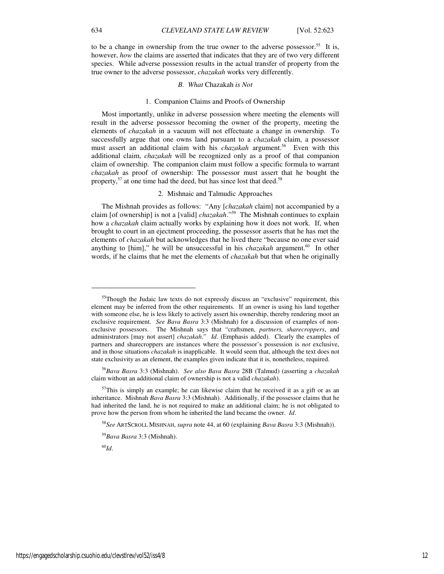to be a change in ownership from the true owner to the adverse possessor.<sup>55</sup> It is, however, *how* the claims are asserted that indicates that they are of two very different species. While adverse possession results in the actual transfer of property from the true owner to the adverse possessor, *chazakah* works very differently.

#### *B. What* Chazakah *is Not*

#### 1. Companion Claims and Proofs of Ownership

Most importantly, unlike in adverse possession where meeting the elements will result in the adverse possessor becoming the owner of the property, meeting the elements of *chazakah* in a vacuum will not effectuate a change in ownership. To successfully argue that one owns land pursuant to a *chazakah* claim, a possessor must assert an additional claim with his *chazakah* argument.<sup>56</sup> Even with this additional claim, *chazakah* will be recognized only as a proof of that companion claim of ownership. The companion claim must follow a specific formula to warrant *chazakah* as proof of ownership: The possessor must assert that he bought the property, $57$  at one time had the deed, but has since lost that deed.<sup>58</sup>

## 2. Mishnaic and Talmudic Approaches

The Mishnah provides as follows: "Any [*chazakah* claim] not accompanied by a claim [of ownership] is not a [valid] *chazakah*."<sup>59</sup> The Mishnah continues to explain how a *chazakah* claim actually works by explaining how it does not work. If, when brought to court in an ejectment proceeding, the possessor asserts that he has met the elements of *chazakah* but acknowledges that he lived there "because no one ever said anything to [him]," he will be unsuccessful in his *chazakah* argument.<sup>60</sup> In other words, if he claims that he met the elements of *chazakah* but that when he originally

<sup>60</sup>*Id*.

 $\overline{a}$ 

<sup>&</sup>lt;sup>55</sup>Though the Judaic law texts do not expressly discuss an "exclusive" requirement, this element may be inferred from the other requirements. If an owner is using his land together with someone else, he is less likely to actively assert his ownership, thereby rendering moot an exclusive requirement. *See Bava Basra* 3:3 (Mishnah) for a discussion of examples of nonexclusive possessors. The Mishnah says that "craftsmen, *partners, sharecroppers*, and administrators [may not assert] *chazakah*." *Id*. (Emphasis added). Clearly the examples of partners and sharecroppers are instances where the possessor's possession is *not* exclusive, and in those situations *chazakah* is inapplicable. It would seem that, although the text does not state exclusivity as an element, the examples given indicate that it is, nonetheless, required.

<sup>56</sup>*Bava Basra* 3:3 (Mishnah). *See also Bava Basra* 28B (Talmud) (asserting a *chazakah* claim without an additional claim of ownership is not a valid *chazakah*).

 $57$ This is simply an example; he can likewise claim that he received it as a gift or as an inheritance. Mishnah *Bava Basra* 3:3 (Mishnah). Additionally, if the possessor claims that he had inherited the land, he is not required to make an additional claim; he is not obligated to prove how the person from whom he inherited the land became the owner. *Id*.

<sup>58</sup>*See* ARTSCROLL MISHNAH, *supra* note 44, at 60 (explaining *Bava Basra* 3:3 (Mishnah)).

<sup>59</sup>*Bava Basra* 3:3 (Mishnah).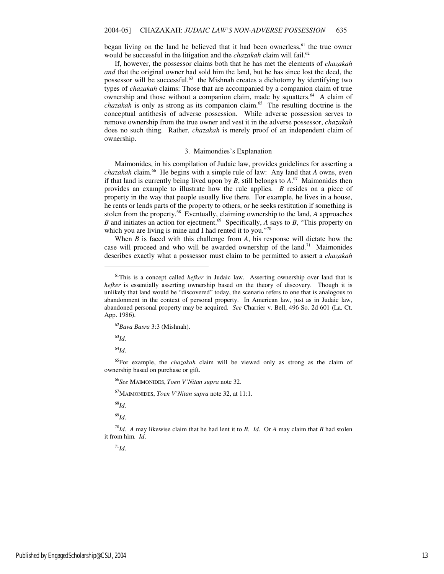began living on the land he believed that it had been ownerless, $61$  the true owner would be successful in the litigation and the *chazakah* claim will fail.<sup>62</sup>

If, however, the possessor claims both that he has met the elements of *chazakah and* that the original owner had sold him the land, but he has since lost the deed, the possessor will be successful. $63$  the Mishnah creates a dichotomy by identifying two types of *chazakah* claims: Those that are accompanied by a companion claim of true ownership and those without a companion claim, made by squatters.<sup>64</sup> A claim of *chazakah* is only as strong as its companion claim.<sup>65</sup> The resulting doctrine is the conceptual antithesis of adverse possession. While adverse possession serves to remove ownership from the true owner and vest it in the adverse possessor, *chazakah* does no such thing. Rather, *chazakah* is merely proof of an independent claim of ownership.

#### 3. Maimondies's Explanation

Maimonides, in his compilation of Judaic law, provides guidelines for asserting a *chazakah* claim.<sup>66</sup> He begins with a simple rule of law: Any land that *A* owns, even if that land is currently being lived upon by  $B$ , still belongs to  $A$ .<sup>67</sup> Maimonides then provides an example to illustrate how the rule applies. *B* resides on a piece of property in the way that people usually live there. For example, he lives in a house, he rents or lends parts of the property to others, or he seeks restitution if something is stolen from the property.<sup>68</sup> Eventually, claiming ownership to the land, *A* approaches *B* and initiates an action for ejectment.<sup>69</sup> Specifically, *A* says to *B*, "This property on which you are living is mine and I had rented it to you."70

When *B* is faced with this challenge from *A*, his response will dictate how the case will proceed and who will be awarded ownership of the land.<sup>71</sup> Maimonides describes exactly what a possessor must claim to be permitted to assert a *chazakah*

<sup>63</sup>*Id*.

1

<sup>64</sup>*Id*.

<sup>65</sup>For example, the *chazakah* claim will be viewed only as strong as the claim of ownership based on purchase or gift.

<sup>66</sup>*See* MAIMONIDES, *Toen V'Nitan supra* note 32.

<sup>67</sup>MAIMONIDES, *Toen V'Nitan supra* note 32, at 11:1.

<sup>68</sup>*Id*.

<sup>69</sup>*Id*.

 $^{70}$ *Id.* A may likewise claim that he had lent it to *B*. *Id.* Or *A* may claim that *B* had stolen it from him. *Id*.

 $71$ *Id*.

<sup>61</sup>This is a concept called *hefker* in Judaic law. Asserting ownership over land that is *hefker* is essentially asserting ownership based on the theory of discovery. Though it is unlikely that land would be "discovered" today, the scenario refers to one that is analogous to abandonment in the context of personal property. In American law, just as in Judaic law, abandoned personal property may be acquired. *See* Charrier v. Bell, 496 So. 2d 601 (La. Ct. App. 1986).

<sup>62</sup>*Bava Basra* 3:3 (Mishnah).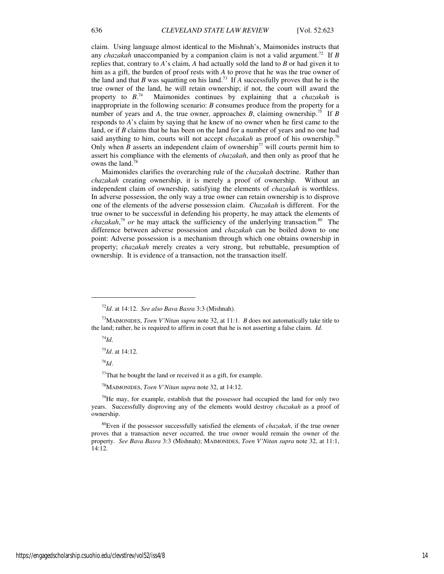claim. Using language almost identical to the Mishnah's, Maimonides instructs that any *chazakah* unaccompanied by a companion claim is not a valid argument.<sup>72</sup> If *B* replies that, contrary to *A*'s claim, *A* had actually sold the land to *B* or had given it to him as a gift, the burden of proof rests with *A* to prove that he was the true owner of the land and that *B* was squatting on his land.<sup>73</sup> If  $\overline{A}$  successfully proves that he is the true owner of the land, he will retain ownership; if not, the court will award the property to  $B^{74}$ . <sup>74</sup> Maimonides continues by explaining that a *chazakah* is inappropriate in the following scenario: *B* consumes produce from the property for a number of years and *A*, the true owner, approaches *B*, claiming ownership.<sup>75</sup> If *B* responds to *A*'s claim by saying that he knew of no owner when he first came to the land, or if *B* claims that he has been on the land for a number of years and no one had said anything to him, courts will not accept *chazakah* as proof of his ownership.<sup>76</sup> Only when *B* asserts an independent claim of ownership<sup>77</sup> will courts permit him to assert his compliance with the elements of *chazakah*, and then only as proof that he owns the land.<sup>78</sup>

Maimonides clarifies the overarching rule of the *chazakah* doctrine. Rather than *chazakah* creating ownership, it is merely a proof of ownership. Without an independent claim of ownership, satisfying the elements of *chazakah* is worthless. In adverse possession, the only way a true owner can retain ownership is to disprove one of the elements of the adverse possession claim. *Chazakah* is different. For the true owner to be successful in defending his property, he may attack the elements of *chazakah*, <sup>79</sup> *or* he may attack the sufficiency of the underlying transaction.<sup>80</sup> The difference between adverse possession and *chazakah* can be boiled down to one point: Adverse possession is a mechanism through which one obtains ownership in property; *chazakah* merely creates a very strong, but rebuttable, presumption of ownership. It is evidence of a transaction, not the transaction itself.

<sup>74</sup>*Id*.

 $\overline{a}$ 

<sup>75</sup>*Id*. at 14:12.

<sup>76</sup>*Id*.

 $77$ That he bought the land or received it as a gift, for example.

<sup>78</sup>MAIMONIDES, *Toen V'Nitan supra* note 32, at 14:12.

 $79$ He may, for example, establish that the possessor had occupied the land for only two years. Successfully disproving any of the elements would destroy *chazakah* as a proof of ownership.

<sup>72</sup>*Id*. at 14:12. *See also Bava Basra* 3:3 (Mishnah).

<sup>73</sup>MAIMONIDES, *Toen V'Nitan supra* note 32, at 11:1. *B* does not automatically take title to the land; rather, he is required to affirm in court that he is not asserting a false claim. *Id*.

<sup>80</sup>Even if the possessor successfully satisfied the elements of *chazakah*, if the true owner proves that a transaction never occurred, the true owner would remain the owner of the property. *See Bava Basra* 3:3 (Mishnah); MAIMONIDES, *Toen V'Nitan supra* note 32, at 11:1, 14:12.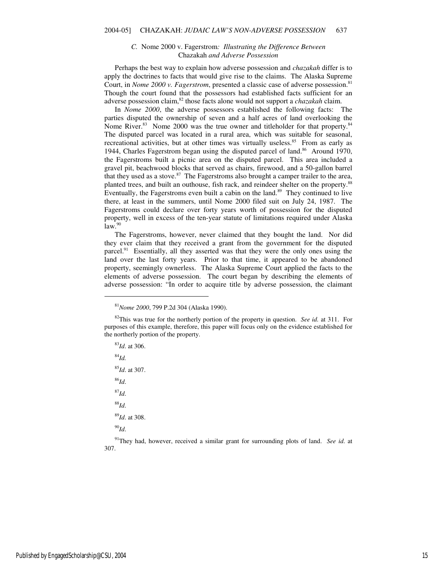#### *C.* Nome 2000 v. Fagerstrom*: Illustrating the Difference Between*  Chazakah *and Adverse Possession*

Perhaps the best way to explain how adverse possession and *chazakah* differ is to apply the doctrines to facts that would give rise to the claims. The Alaska Supreme Court, in *Nome 2000 v. Fagerstrom*, presented a classic case of adverse possession.<sup>81</sup> Though the court found that the possessors had established facts sufficient for an adverse possession claim,<sup>82</sup> those facts alone would not support a *chazakah* claim.

In *Nome 2000*, the adverse possessors established the following facts: The parties disputed the ownership of seven and a half acres of land overlooking the Nome River.<sup>83</sup> Nome 2000 was the true owner and titleholder for that property.<sup>84</sup> The disputed parcel was located in a rural area, which was suitable for seasonal, recreational activities, but at other times was virtually useless. $85$  From as early as 1944, Charles Fagerstrom began using the disputed parcel of land.<sup>86</sup> Around 1970, the Fagerstroms built a picnic area on the disputed parcel. This area included a gravel pit, beachwood blocks that served as chairs, firewood, and a 50-gallon barrel that they used as a stove.<sup>87</sup> The Fagerstroms also brought a camper trailer to the area, planted trees, and built an outhouse, fish rack, and reindeer shelter on the property.<sup>88</sup> Eventually, the Fagerstroms even built a cabin on the land.<sup>89</sup> They continued to live there, at least in the summers, until Nome 2000 filed suit on July 24, 1987. The Fagerstroms could declare over forty years worth of possession for the disputed property, well in excess of the ten-year statute of limitations required under Alaska  $law.<sup>90</sup>$ 

The Fagerstroms, however, never claimed that they bought the land. Nor did they ever claim that they received a grant from the government for the disputed parcel.<sup>91</sup> Essentially, all they asserted was that they were the only ones using the land over the last forty years. Prior to that time, it appeared to be abandoned property, seemingly ownerless. The Alaska Supreme Court applied the facts to the elements of adverse possession. The court began by describing the elements of adverse possession: "In order to acquire title by adverse possession, the claimant

<sup>83</sup>*Id*. at 306. <sup>84</sup>*Id.* <sup>85</sup>*Id*. at 307. <sup>86</sup>*Id*. <sup>87</sup>*Id*. <sup>88</sup>*Id*. <sup>89</sup>*Id*. at 308. <sup>90</sup>*Id*.

1

<sup>91</sup>They had, however, received a similar grant for surrounding plots of land. *See id*. at 307.

<sup>81</sup>*Nome 2000*, 799 P.2d 304 (Alaska 1990).

<sup>82</sup>This was true for the northerly portion of the property in question. *See id.* at 311. For purposes of this example, therefore, this paper will focus only on the evidence established for the northerly portion of the property.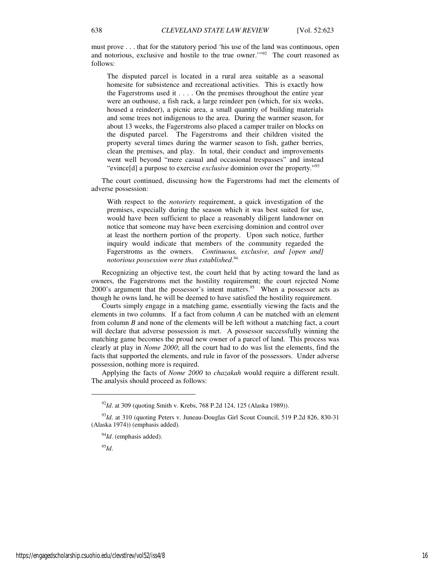must prove . . . that for the statutory period 'his use of the land was continuous, open and notorious, exclusive and hostile to the true owner.'"<sup>92</sup> The court reasoned as follows:

The disputed parcel is located in a rural area suitable as a seasonal homesite for subsistence and recreational activities. This is exactly how the Fagerstroms used it . . . . On the premises throughout the entire year were an outhouse, a fish rack, a large reindeer pen (which, for six weeks, housed a reindeer), a picnic area, a small quantity of building materials and some trees not indigenous to the area. During the warmer season, for about 13 weeks, the Fagerstroms also placed a camper trailer on blocks on the disputed parcel. The Fagerstroms and their children visited the property several times during the warmer season to fish, gather berries, clean the premises, and play. In total, their conduct and improvements went well beyond "mere casual and occasional trespasses" and instead "evince[d] a purpose to exercise *exclusive* dominion over the property."<sup>93</sup>

The court continued, discussing how the Fagerstroms had met the elements of adverse possession:

With respect to the *notoriety* requirement, a quick investigation of the premises, especially during the season which it was best suited for use, would have been sufficient to place a reasonably diligent landowner on notice that someone may have been exercising dominion and control over at least the northern portion of the property. Upon such notice, further inquiry would indicate that members of the community regarded the Fagerstroms as the owners. *Continuous, exclusive, and [open and] notorious possession were thus established*. 94

Recognizing an objective test, the court held that by acting toward the land as owners, the Fagerstroms met the hostility requirement; the court rejected Nome 2000's argument that the possessor's intent matters. $95$  When a possessor acts as though he owns land, he will be deemed to have satisfied the hostility requirement.

Courts simply engage in a matching game, essentially viewing the facts and the elements in two columns. If a fact from column *A* can be matched with an element from column *B* and none of the elements will be left without a matching fact, a court will declare that adverse possession is met. A possessor successfully winning the matching game becomes the proud new owner of a parcel of land. This process was clearly at play in *Nome 2000*; all the court had to do was list the elements, find the facts that supported the elements, and rule in favor of the possessors. Under adverse possession, nothing more is required.

Applying the facts of *Nome 2000* to *chazakah* would require a different result. The analysis should proceed as follows:

<sup>95</sup>*Id*.

1

<sup>&</sup>lt;sup>92</sup>*Id.* at 309 (quoting Smith v. Krebs, 768 P.2d 124, 125 (Alaska 1989)).

<sup>93</sup>*Id*. at 310 (quoting Peters v. Juneau-Douglas Girl Scout Council, 519 P.2d 826, 830-31 (Alaska 1974)) (emphasis added).

<sup>&</sup>lt;sup>94</sup>*Id*. (emphasis added).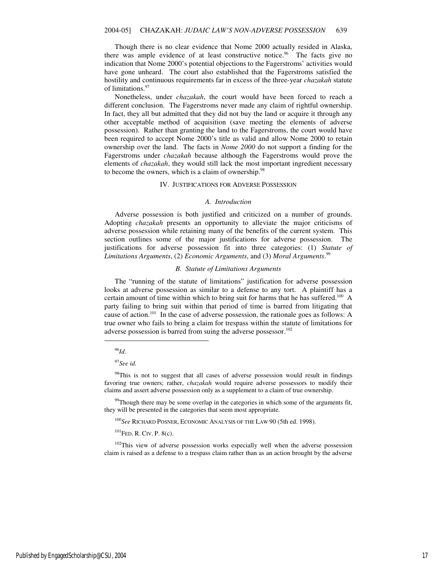Though there is no clear evidence that Nome 2000 actually resided in Alaska, there was ample evidence of at least constructive notice.<sup>96</sup> The facts give no indication that Nome 2000's potential objections to the Fagerstroms' activities would have gone unheard. The court also established that the Fagerstroms satisfied the hostility and continuous requirements far in excess of the three-year *chazakah* statute of limitations.<sup>97</sup>

Nonetheless, under *chazakah*, the court would have been forced to reach a different conclusion. The Fagerstroms never made any claim of rightful ownership. In fact, they all but admitted that they did not buy the land or acquire it through any other acceptable method of acquisition (save meeting the elements of adverse possession). Rather than granting the land to the Fagerstroms, the court would have been required to accept Nome 2000's title as valid and allow Nome 2000 to retain ownership over the land. The facts in *Nome 2000* do not support a finding for the Fagerstroms under *chazakah* because although the Fagerstroms would prove the elements of *chazakah*, they would still lack the most important ingredient necessary to become the owners, which is a claim of ownership.<sup>98</sup>

#### IV. JUSTIFICATIONS FOR ADVERSE POSSESSION

#### *A. Introduction*

Adverse possession is both justified and criticized on a number of grounds. Adopting *chazakah* presents an opportunity to alleviate the major criticisms of adverse possession while retaining many of the benefits of the current system. This section outlines some of the major justifications for adverse possession. The justifications for adverse possession fit into three categories: (1) *Statute of Limitations Arguments*, (2) *Economic Arguments*, and (3) *Moral Arguments*. 99

#### *B. Statute of Limitations Arguments*

The "running of the statute of limitations" justification for adverse possession looks at adverse possession as similar to a defense to any tort. A plaintiff has a certain amount of time within which to bring suit for harms that he has suffered.<sup>100</sup> A party failing to bring suit within that period of time is barred from litigating that cause of action.<sup>101</sup> In the case of adverse possession, the rationale goes as follows: A true owner who fails to bring a claim for trespass within the statute of limitations for adverse possession is barred from suing the adverse possessor.<sup>102</sup>

## <sup>96</sup>*Id*.

j

<sup>97</sup>*See id.*

<sup>98</sup>This is not to suggest that all cases of adverse possession would result in findings favoring true owners; rather, *chazakah* would require adverse possessors to modify their claims and assert adverse possession only as a supplement to a claim of true ownership.

 $99$ Though there may be some overlap in the categories in which some of the arguments fit, they will be presented in the categories that seem most appropriate.

<sup>100</sup>*See* RICHARD POSNER, ECONOMIC ANALYSIS OF THE LAW 90 (5th ed. 1998).

 $^{101}$ FED. R. CIV. P. 8(c).

 $102$ This view of adverse possession works especially well when the adverse possession claim is raised as a defense to a trespass claim rather than as an action brought by the adverse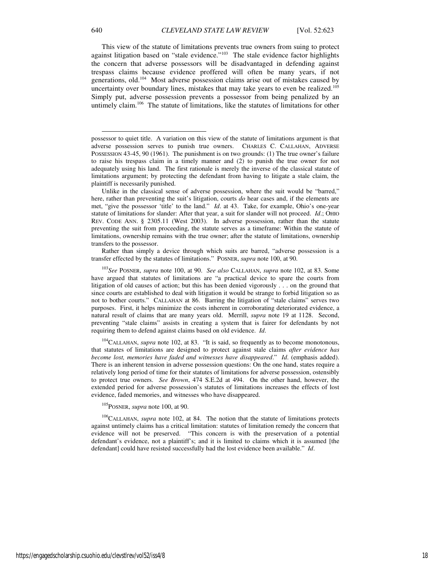Rather than simply a device through which suits are barred, "adverse possession is a transfer effected by the statutes of limitations." POSNER, *supra* note 100, at 90.

<sup>103</sup>*See* POSNER, *supra* note 100, at 90. *See also* CALLAHAN, *supra* note 102, at 83. Some have argued that statutes of limitations are "a practical device to spare the courts from litigation of old causes of action; but this has been denied vigorously . . . on the ground that since courts are established to deal with litigation it would be strange to forbid litigation so as not to bother courts." CALLAHAN at 86. Barring the litigation of "stale claims" serves two purposes. First, it helps minimize the costs inherent in corroborating deteriorated evidence, a natural result of claims that are many years old. Merrill, *supra* note 19 at 1128. Second, preventing "stale claims" assists in creating a system that is fairer for defendants by not requiring them to defend against claims based on old evidence. *Id*.

<sup>104</sup>CALLAHAN, *supra* note 102, at 83. "It is said, so frequently as to become monotonous, that statutes of limitations are designed to protect against stale claims *after evidence has become lost, memories have faded and witnesses have disappeared*." *Id*. (emphasis added). There is an inherent tension in adverse possession questions: On the one hand, states require a relatively long period of time for their statutes of limitations for adverse possession, ostensibly to protect true owners. *See Brown*, 474 S.E.2d at 494. On the other hand, however, the extended period for adverse possession's statutes of limitations increases the effects of lost evidence, faded memories, and witnesses who have disappeared.

## <sup>105</sup>POSNER, *supra* note 100, at 90.

<sup>106</sup>CALLAHAN, *supra* note 102, at 84. The notion that the statute of limitations protects against untimely claims has a critical limitation: statutes of limitation remedy the concern that evidence will not be preserved. "This concern is with the preservation of a potential defendant's evidence, not a plaintiff's; and it is limited to claims which it is assumed [the defendant] could have resisted successfully had the lost evidence been available." *Id*.

-

possessor to quiet title. A variation on this view of the statute of limitations argument is that adverse possession serves to punish true owners. CHARLES C. CALLAHAN, ADVERSE POSSESSION 43-45, 90 (1961). The punishment is on two grounds: (1) The true owner's failure to raise his trespass claim in a timely manner and (2) to punish the true owner for not adequately using his land. The first rationale is merely the inverse of the classical statute of limitations argument; by protecting the defendant from having to litigate a stale claim, the plaintiff is necessarily punished.

Unlike in the classical sense of adverse possession, where the suit would be "barred," here, rather than preventing the suit's litigation, courts *do* hear cases and, if the elements are met, "give the possessor 'title' to the land." *Id*. at 43. Take, for example, Ohio's one-year statute of limitations for slander: After that year, a suit for slander will not proceed. *Id*.; OHIO REV. CODE ANN. § 2305.11 (West 2003). In adverse possession, rather than the statute preventing the suit from proceeding, the statute serves as a timeframe: Within the statute of limitations, ownership remains with the true owner; after the statute of limitations, ownership transfers to the possessor.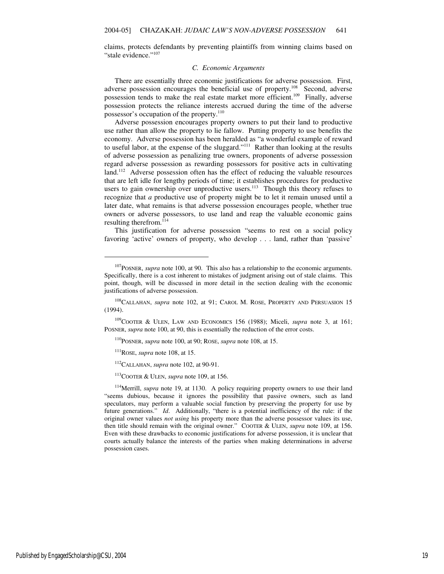claims, protects defendants by preventing plaintiffs from winning claims based on "stale evidence."<sup>107</sup>

#### *C. Economic Arguments*

There are essentially three economic justifications for adverse possession. First, adverse possession encourages the beneficial use of property.<sup>108</sup> Second, adverse possession tends to make the real estate market more efficient.<sup>109</sup> Finally, adverse possession protects the reliance interests accrued during the time of the adverse possessor's occupation of the property.<sup>110</sup>

Adverse possession encourages property owners to put their land to productive use rather than allow the property to lie fallow. Putting property to use benefits the economy. Adverse possession has been heralded as "a wonderful example of reward to useful labor, at the expense of the sluggard."<sup>111</sup> Rather than looking at the results of adverse possession as penalizing true owners, proponents of adverse possession regard adverse possession as rewarding possessors for positive acts in cultivating land.<sup>112</sup> Adverse possession often has the effect of reducing the valuable resources that are left idle for lengthy periods of time; it establishes procedures for productive users to gain ownership over unproductive users.<sup>113</sup> Though this theory refuses to recognize that *a* productive use of property might be to let it remain unused until a later date, what remains is that adverse possession encourages people, whether true owners or adverse possessors, to use land and reap the valuable economic gains resulting therefrom.<sup>114</sup>

This justification for adverse possession "seems to rest on a social policy favoring 'active' owners of property, who develop . . . land, rather than 'passive'

1

<sup>&</sup>lt;sup>107</sup>POSNER, *supra* note 100, at 90. This also has a relationship to the economic arguments. Specifically, there is a cost inherent to mistakes of judgment arising out of stale claims. This point, though, will be discussed in more detail in the section dealing with the economic justifications of adverse possession.

<sup>&</sup>lt;sup>108</sup>CALLAHAN, *supra* note 102, at 91; CAROL M. ROSE, PROPERTY AND PERSUASION 15 (1994).

<sup>109</sup>COOTER & ULEN, LAW AND ECONOMICS 156 (1988); Miceli, *supra* note 3, at 161; POSNER, *supra* note 100, at 90, this is essentially the reduction of the error costs.

<sup>110</sup>POSNER, *supra* note 100, at 90; ROSE, *supra* note 108, at 15.

 $111$ ROSE, *supra* note 108, at 15.

<sup>112</sup>CALLAHAN, *supra* note 102, at 90-91.

<sup>113</sup>COOTER & ULEN, *supra* note 109, at 156.

<sup>&</sup>lt;sup>114</sup>Merrill, *supra* note 19, at 1130. A policy requiring property owners to use their land "seems dubious, because it ignores the possibility that passive owners, such as land speculators, may perform a valuable social function by preserving the property for use by future generations." *Id*. Additionally, "there is a potential inefficiency of the rule: if the original owner values *not using* his property more than the adverse possessor values its use, then title should remain with the original owner." COOTER & ULEN, *supra* note 109, at 156. Even with these drawbacks to economic justifications for adverse possession, it is unclear that courts actually balance the interests of the parties when making determinations in adverse possession cases.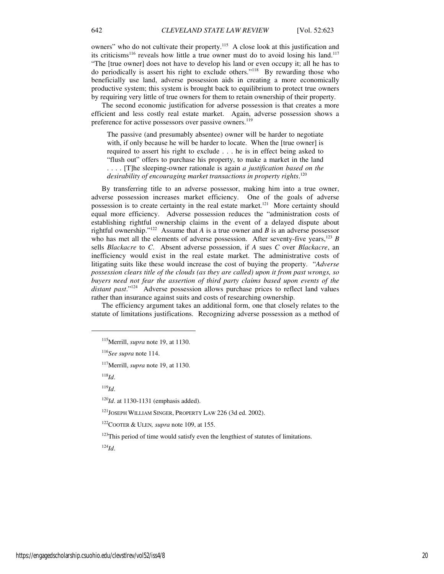owners" who do not cultivate their property.<sup>115</sup> A close look at this justification and its criticisms<sup>116</sup> reveals how little a true owner must do to avoid losing his land.<sup>117</sup> "The [true owner] does not have to develop his land or even occupy it; all he has to do periodically is assert his right to exclude others."<sup>118</sup> By rewarding those who beneficially use land, adverse possession aids in creating a more economically productive system; this system is brought back to equilibrium to protect true owners by requiring very little of true owners for them to retain ownership of their property.

The second economic justification for adverse possession is that creates a more efficient and less costly real estate market. Again, adverse possession shows a preference for active possessors over passive owners.<sup>119</sup>

The passive (and presumably absentee) owner will be harder to negotiate with, if only because he will be harder to locate. When the [true owner] is required to assert his right to exclude . . . he is in effect being asked to "flush out" offers to purchase his property, to make a market in the land . . . . [T]he sleeping-owner rationale is again *a justification based on the desirability of encouraging market transactions in property rights*. 120

By transferring title to an adverse possessor, making him into a true owner, adverse possession increases market efficiency. One of the goals of adverse possession is to create certainty in the real estate market.<sup>121</sup> More certainty should equal more efficiency. Adverse possession reduces the "administration costs of establishing rightful ownership claims in the event of a delayed dispute about rightful ownership."<sup>122</sup> Assume that *A* is a true owner and *B* is an adverse possessor who has met all the elements of adverse possession. After seventy-five years,  $123$  *B* sells *Blackacre* to *C*. Absent adverse possession, if *A* sues *C* over *Blackacre*, an inefficiency would exist in the real estate market. The administrative costs of litigating suits like these would increase the cost of buying the property. "*Adverse possession clears title of the clouds (as they are called) upon it from past wrongs, so buyers need not fear the assertion of third party claims based upon events of the distant past*."<sup>124</sup> Adverse possession allows purchase prices to reflect land values rather than insurance against suits and costs of researching ownership.

The efficiency argument takes an additional form, one that closely relates to the statute of limitations justifications. Recognizing adverse possession as a method of

<sup>118</sup>*Id*.

1

<sup>119</sup>*Id*.

<sup>121</sup>JOSEPH WILLIAM SINGER, PROPERTY LAW 226 (3d ed. 2002).

 $123$ This period of time would satisfy even the lengthiest of statutes of limitations.

<sup>124</sup>*Id*.

<sup>115</sup>Merrill, *supra* note 19, at 1130.

<sup>116</sup>*See supra* note 114.

<sup>117</sup>Merrill, *supra* note 19, at 1130.

<sup>&</sup>lt;sup>120</sup>*Id*. at 1130-1131 (emphasis added).

<sup>122</sup>COOTER & ULEN*, supra* note 109, at 155.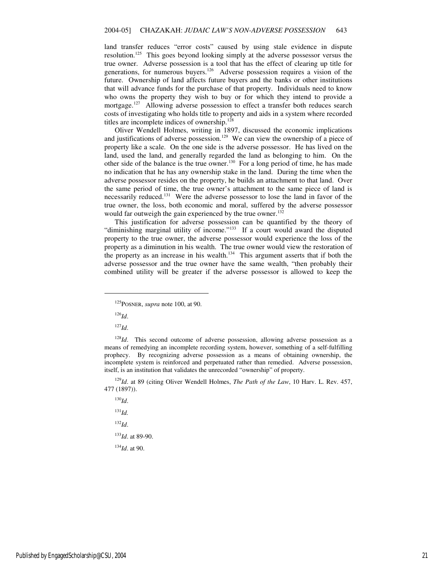land transfer reduces "error costs" caused by using stale evidence in dispute resolution.<sup>125</sup> This goes beyond looking simply at the adverse possessor versus the true owner. Adverse possession is a tool that has the effect of clearing up title for generations, for numerous buyers.<sup>126</sup> Adverse possession requires a vision of the future. Ownership of land affects future buyers and the banks or other institutions that will advance funds for the purchase of that property. Individuals need to know who owns the property they wish to buy or for which they intend to provide a mortgage.<sup>127</sup> Allowing adverse possession to effect a transfer both reduces search costs of investigating who holds title to property and aids in a system where recorded titles are incomplete indices of ownership.<sup>128</sup>

Oliver Wendell Holmes, writing in 1897, discussed the economic implications and justifications of adverse possession.<sup>129</sup> We can view the ownership of a piece of property like a scale. On the one side is the adverse possessor. He has lived on the land, used the land, and generally regarded the land as belonging to him. On the other side of the balance is the true owner.<sup>130</sup> For a long period of time, he has made no indication that he has any ownership stake in the land. During the time when the adverse possessor resides on the property, he builds an attachment to that land. Over the same period of time, the true owner's attachment to the same piece of land is necessarily reduced.<sup>131</sup> Were the adverse possessor to lose the land in favor of the true owner, the loss, both economic and moral, suffered by the adverse possessor would far outweigh the gain experienced by the true owner.<sup>132</sup>

This justification for adverse possession can be quantified by the theory of "diminishing marginal utility of income."<sup>133</sup> If a court would award the disputed property to the true owner, the adverse possessor would experience the loss of the property as a diminution in his wealth. The true owner would view the restoration of the property as an increase in his wealth.<sup>134</sup> This argument asserts that if both the adverse possessor and the true owner have the same wealth, "then probably their combined utility will be greater if the adverse possessor is allowed to keep the

<sup>126</sup>*Id*.

 $\overline{a}$ 

<sup>127</sup>*Id*.

<sup>128</sup>*Id*. This second outcome of adverse possession, allowing adverse possession as a means of remedying an incomplete recording system, however, something of a self-fulfilling prophecy. By recognizing adverse possession as a means of obtaining ownership, the incomplete system is reinforced and perpetuated rather than remedied. Adverse possession, itself, is an institution that validates the unrecorded "ownership" of property.

<sup>129</sup>*Id*. at 89 (citing Oliver Wendell Holmes, *The Path of the Law*, 10 Harv. L. Rev. 457, 477 (1897)).

<sup>130</sup>*Id*. <sup>131</sup>*Id.* <sup>132</sup>*Id*. <sup>133</sup>*Id*. at 89-90. <sup>134</sup>*Id*. at 90.

<sup>125</sup>POSNER, *supra* note 100, at 90.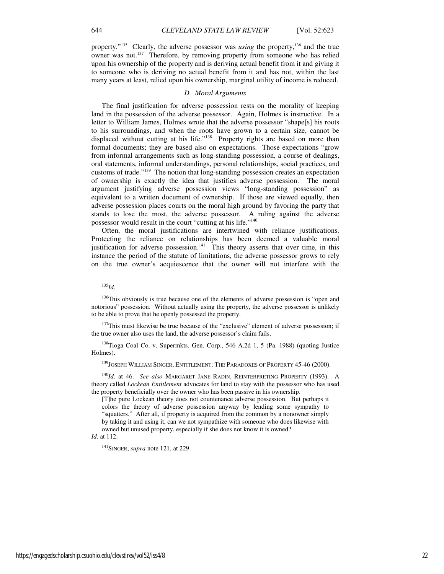property."<sup>135</sup> Clearly, the adverse possessor was *using* the property,<sup>136</sup> and the true owner was not.<sup>137</sup> Therefore, by removing property from someone who has relied upon his ownership of the property and is deriving actual benefit from it and giving it to someone who is deriving no actual benefit from it and has not, within the last many years at least, relied upon his ownership, marginal utility of income is reduced.

#### *D. Moral Arguments*

The final justification for adverse possession rests on the morality of keeping land in the possession of the adverse possessor. Again, Holmes is instructive. In a letter to William James, Holmes wrote that the adverse possessor "shape[s] his roots to his surroundings, and when the roots have grown to a certain size, cannot be displaced without cutting at his life."<sup>138</sup> Property rights are based on more than formal documents; they are based also on expectations. Those expectations "grow from informal arrangements such as long-standing possession, a course of dealings, oral statements, informal understandings, personal relationships, social practices, and customs of trade."<sup>139</sup> The notion that long-standing possession creates an expectation of ownership is exactly the idea that justifies adverse possession. The moral argument justifying adverse possession views "long-standing possession" as equivalent to a written document of ownership. If those are viewed equally, then adverse possession places courts on the moral high ground by favoring the party that stands to lose the most, the adverse possessor. A ruling against the adverse possessor would result in the court "cutting at his life."<sup>140</sup>

Often, the moral justifications are intertwined with reliance justifications. Protecting the reliance on relationships has been deemed a valuable moral justification for adverse possession.<sup>141</sup> This theory asserts that over time, in this instance the period of the statute of limitations, the adverse possessor grows to rely on the true owner's acquiescence that the owner will not interfere with the

j

 $137$ This must likewise be true because of the "exclusive" element of adverse possession; if the true owner also uses the land, the adverse possessor's claim fails.

<sup>138</sup>Tioga Coal Co. v. Supermkts. Gen. Corp., 546 A.2d 1, 5 (Pa. 1988) (quoting Justice Holmes).

<sup>139</sup>JOSEPH WILLIAM SINGER, ENTITLEMENT: THE PARADOXES OF PROPERTY 45-46 (2000).

<sup>140</sup>*Id*. at 46. *See also* MARGARET JANE RADIN, REINTERPRETING PROPERTY (1993). A theory called *Lockean Entitlement* advocates for land to stay with the possessor who has used the property beneficially over the owner who has been passive in his ownership.

[T]he pure Lockean theory does not countenance adverse possession. But perhaps it colors the theory of adverse possession anyway by lending some sympathy to "squatters." After all, if property is acquired from the common by a nonowner simply by taking it and using it, can we not sympathize with someone who does likewise with owned but unused property, especially if she does not know it is owned?

# *Id*. at 112.

<sup>141</sup>SINGER, *supra* note 121, at 229.

<sup>135</sup>*Id*.

<sup>&</sup>lt;sup>136</sup>This obviously is true because one of the elements of adverse possession is "open and notorious" possession. Without actually using the property, the adverse possessor is unlikely to be able to prove that he openly possessed the property.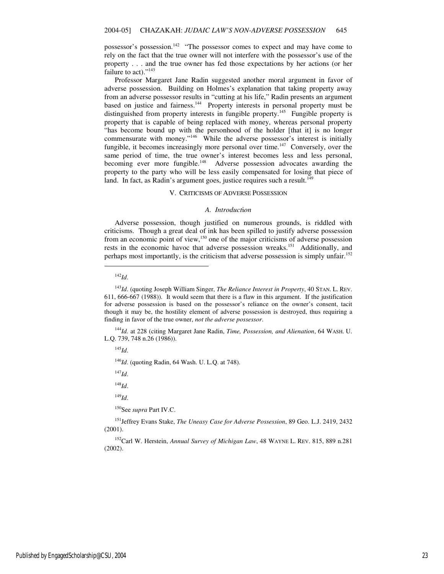possessor's possession.<sup>142</sup> "The possessor comes to expect and may have come to rely on the fact that the true owner will not interfere with the possessor's use of the property . . . and the true owner has fed those expectations by her actions (or her failure to act)."<sup>143</sup>

Professor Margaret Jane Radin suggested another moral argument in favor of adverse possession. Building on Holmes's explanation that taking property away from an adverse possessor results in "cutting at his life," Radin presents an argument based on justice and fairness.<sup>144</sup> Property interests in personal property must be distinguished from property interests in fungible property.<sup>145</sup> Fungible property is property that is capable of being replaced with money, whereas personal property "has become bound up with the personhood of the holder [that it] is no longer commensurate with money."<sup>146</sup> While the adverse possessor's interest is initially fungible, it becomes increasingly more personal over time.<sup>147</sup> Conversely, over the same period of time, the true owner's interest becomes less and less personal, becoming ever more fungible.<sup>148</sup> Adverse possession advocates awarding the property to the party who will be less easily compensated for losing that piece of land. In fact, as Radin's argument goes, justice requires such a result.<sup>149</sup>

#### V. CRITICISMS OF ADVERSE POSSESSION

#### *A. Introduct*i*on*

Adverse possession, though justified on numerous grounds, is riddled with criticisms. Though a great deal of ink has been spilled to justify adverse possession from an economic point of view,<sup>150</sup> one of the major criticisms of adverse possession rests in the economic havoc that adverse possession wreaks.<sup>151</sup> Additionally, and perhaps most importantly, is the criticism that adverse possession is simply unfair.<sup>152</sup>

 $\overline{a}$ 

<sup>144</sup>*Id.* at 228 (citing Margaret Jane Radin, *Time, Possession, and Alienation*, 64 WASH. U. L.Q. 739, 748 n.26 (1986)).

<sup>145</sup>*Id*.

<sup>146</sup>*Id*. (quoting Radin, 64 Wash. U. L.Q. at 748).

<sup>147</sup>*Id*.

<sup>148</sup>*Id*.

<sup>149</sup>*Id*.

<sup>150</sup>See *supra* Part IV.C.

<sup>151</sup>Jeffrey Evans Stake, *The Uneasy Case for Adverse Possession*, 89 Geo. L.J. 2419, 2432 (2001).

<sup>152</sup>Carl W. Herstein, *Annual Survey of Michigan Law*, 48 WAYNE L. REV. 815, 889 n.281 (2002).

<sup>142</sup>*Id*.

<sup>143</sup>*Id*. (quoting Joseph William Singer, *The Reliance Interest in Property*, 40 STAN. L. REV. 611, 666-667 (1988)). It would seem that there is a flaw in this argument. If the justification for adverse possession is based on the possessor's reliance on the owner's consent, tacit though it may be, the hostility element of adverse possession is destroyed, thus requiring a finding in favor of the true owner, *not the adverse possessor*.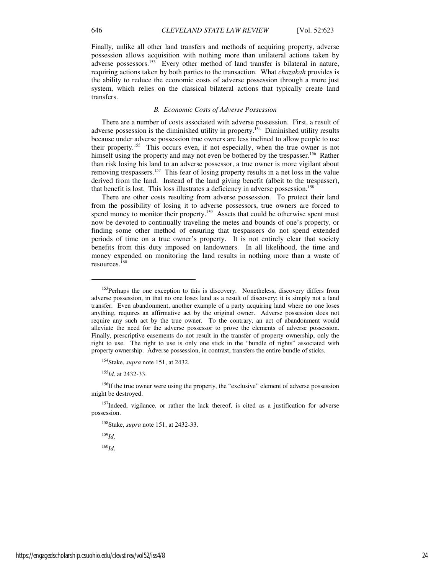Finally, unlike all other land transfers and methods of acquiring property, adverse possession allows acquisition with nothing more than unilateral actions taken by adverse possessors.<sup>153</sup> Every other method of land transfer is bilateral in nature, requiring actions taken by both parties to the transaction. What *chazakah* provides is the ability to reduce the economic costs of adverse possession through a more just system, which relies on the classical bilateral actions that typically create land transfers.

#### *B. Economic Costs of Adverse Possession*

There are a number of costs associated with adverse possession. First, a result of adverse possession is the diminished utility in property.<sup>154</sup> Diminished utility results because under adverse possession true owners are less inclined to allow people to use their property.<sup>155</sup> This occurs even, if not especially, when the true owner is not himself using the property and may not even be bothered by the trespasser.<sup>156</sup> Rather than risk losing his land to an adverse possessor, a true owner is more vigilant about removing trespassers.<sup>157</sup> This fear of losing property results in a net loss in the value derived from the land. Instead of the land giving benefit (albeit to the trespasser), that benefit is lost. This loss illustrates a deficiency in adverse possession.<sup>158</sup>

There are other costs resulting from adverse possession. To protect their land from the possibility of losing it to adverse possessors, true owners are forced to spend money to monitor their property.<sup>159</sup> Assets that could be otherwise spent must now be devoted to continually traveling the metes and bounds of one's property, or finding some other method of ensuring that trespassers do not spend extended periods of time on a true owner's property. It is not entirely clear that society benefits from this duty imposed on landowners. In all likelihood, the time and money expended on monitoring the land results in nothing more than a waste of resources.<sup>160</sup>

<sup>155</sup>*Id*. at 2432-33.

<sup>156</sup>If the true owner were using the property, the "exclusive" element of adverse possession might be destroyed.

<sup>157</sup>Indeed, vigilance, or rather the lack thereof, is cited as a justification for adverse possession.

<sup>158</sup>Stake, *supra* note 151, at 2432-33.

<sup>159</sup>*Id*.

1

<sup>160</sup>*Id*.

<sup>&</sup>lt;sup>153</sup>Perhaps the one exception to this is discovery. Nonetheless, discovery differs from adverse possession, in that no one loses land as a result of discovery; it is simply not a land transfer. Even abandonment, another example of a party acquiring land where no one loses anything, requires an affirmative act by the original owner. Adverse possession does not require any such act by the true owner. To the contrary, an act of abandonment would alleviate the need for the adverse possessor to prove the elements of adverse possession. Finally, prescriptive easements do not result in the transfer of property ownership, only the right to use. The right to use is only one stick in the "bundle of rights" associated with property ownership. Adverse possession, in contrast, transfers the entire bundle of sticks.

<sup>154</sup>Stake, *supra* note 151, at 2432.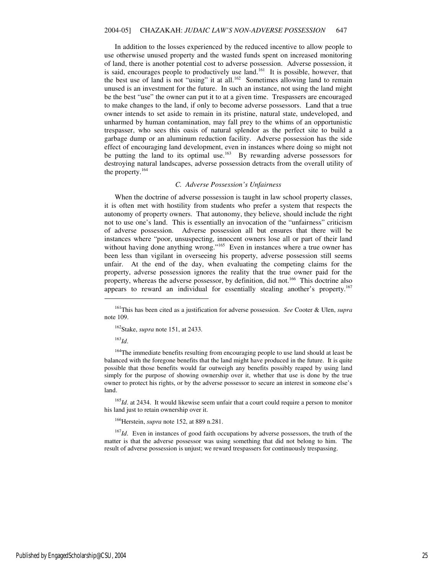In addition to the losses experienced by the reduced incentive to allow people to use otherwise unused property and the wasted funds spent on increased monitoring of land, there is another potential cost to adverse possession. Adverse possession, it is said, encourages people to productively use land.<sup>161</sup> It is possible, however, that the best use of land is not "using" it at all.<sup>162</sup> Sometimes allowing land to remain unused is an investment for the future. In such an instance, not using the land might be the best "use" the owner can put it to at a given time. Trespassers are encouraged to make changes to the land, if only to become adverse possessors. Land that a true owner intends to set aside to remain in its pristine, natural state, undeveloped, and unharmed by human contamination, may fall prey to the whims of an opportunistic trespasser, who sees this oasis of natural splendor as the perfect site to build a garbage dump or an aluminum reduction facility. Adverse possession has the side effect of encouraging land development, even in instances where doing so might not be putting the land to its optimal use.<sup>163</sup> By rewarding adverse possessors for destroying natural landscapes, adverse possession detracts from the overall utility of the property.<sup>164</sup>

#### *C. Adverse Possession's Unfairness*

When the doctrine of adverse possession is taught in law school property classes, it is often met with hostility from students who prefer a system that respects the autonomy of property owners. That autonomy, they believe, should include the right not to use one's land. This is essentially an invocation of the "unfairness" criticism of adverse possession. Adverse possession all but ensures that there will be instances where "poor, unsuspecting, innocent owners lose all or part of their land without having done anything wrong."<sup>165</sup> Even in instances where a true owner has been less than vigilant in overseeing his property, adverse possession still seems unfair. At the end of the day, when evaluating the competing claims for the property, adverse possession ignores the reality that the true owner paid for the property, whereas the adverse possessor, by definition, did not.<sup>166</sup> This doctrine also appears to reward an individual for essentially stealing another's property.<sup>167</sup>

<sup>162</sup>Stake, *supra* note 151, at 2433.

<sup>163</sup>*Id*.

j

<sup>164</sup>The immediate benefits resulting from encouraging people to use land should at least be balanced with the foregone benefits that the land might have produced in the future. It is quite possible that those benefits would far outweigh any benefits possibly reaped by using land simply for the purpose of showing ownership over it, whether that use is done by the true owner to protect his rights, or by the adverse possessor to secure an interest in someone else's land.

<sup>165</sup>*Id*. at 2434. It would likewise seem unfair that a court could require a person to monitor his land just to retain ownership over it.

<sup>166</sup>Herstein, *supra* note 152, at 889 n.281.

<sup>167</sup>*Id*. Even in instances of good faith occupations by adverse possessors, the truth of the matter is that the adverse possessor was using something that did not belong to him. The result of adverse possession is unjust; we reward trespassers for continuously trespassing.

<sup>161</sup>This has been cited as a justification for adverse possession. *See* Cooter & Ulen, *supra* note 109.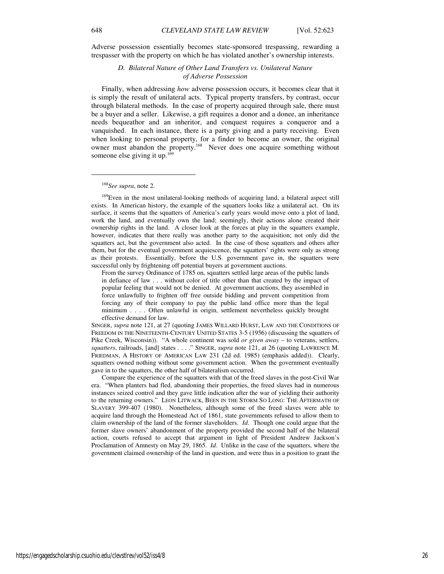Adverse possession essentially becomes state-sponsored trespassing, rewarding a trespasser with the property on which he has violated another's ownership interests.

> *D. Bilateral Nature of Other Land Transfers vs. Unilateral Nature of Adverse Possession*

Finally, when addressing *how* adverse possession occurs, it becomes clear that it is simply the result of unilateral acts. Typical property transfers, by contrast, occur through bilateral methods. In the case of property acquired through sale, there must be a buyer and a seller. Likewise, a gift requires a donor and a donee, an inheritance needs bequeathor and an inheritor, and conquest requires a conqueror and a vanquished. In each instance, there is a party giving and a party receiving. Even when looking to personal property, for a finder to become an owner, the original owner must abandon the property.<sup>168</sup> Never does one acquire something without someone else giving it up.<sup>169</sup>

#### <sup>168</sup>*See supra*, note 2.

<sup>169</sup>Even in the most unilateral-looking methods of acquiring land, a bilateral aspect still exists. In American history, the example of the squatters looks like a unilateral act. On its surface, it seems that the squatters of America's early years would move onto a plot of land, work the land, and eventually own the land; seemingly, their actions alone created their ownership rights in the land. A closer look at the forces at play in the squatters example, however, indicates that there really was another party to the acquisition; not only did the squatters act, but the government also acted. In the case of those squatters and others after them, but for the eventual government acquiescence, the squatters' rights were only as strong as their protests. Essentially, before the U.S. government gave in, the squatters were successful only by frightening off potential buyers at government auctions.

From the survey Ordinance of 1785 on, squatters settled large areas of the public lands in defiance of law . . . without color of title other than that created by the impact of popular feeling that would not be denied. At government auctions, they assembled in force unlawfully to frighten off free outside bidding and prevent competition from forcing any of their company to pay the public land office more than the legal minimum . . . . Often unlawful in origin, settlement nevertheless quickly brought effective demand for law.

SINGER, *supra* note 121, at 27 (quoting JAMES WILLARD HURST, LAW AND THE CONDITIONS OF FREEDOM IN THE NINETEENTH-CENTURY UNITED STATES 3-5 (1956) (discussing the squatters of Pike Creek, Wisconsin)). "A whole continent was sold *or given away* – to veterans, settlers, *squatters*, railroads, [and] states . . . ." SINGER, *supra* note 121, at 26 (quoting LAWRENCE M. FRIEDMAN, A HISTORY OF AMERICAN LAW 231 (2d ed. 1985) (emphasis added)). Clearly, squatters owned nothing without some government action. When the government eventually gave in to the squatters, the other half of bilateralism occurred.

Compare the experience of the squatters with that of the freed slaves in the post-Civil War era. "When planters had fled, abandoning their properties, the freed slaves had in numerous instances seized control and they gave little indication after the war of yielding their authority to the returning owners." LEON LITWACK, BEEN IN THE STORM SO LONG: THE AFTERMATH OF SLAVERY 399-407 (1980). Nonetheless, although some of the freed slaves were able to acquire land through the Homestead Act of 1861, state governments refused to allow them to claim ownership of the land of the former slaveholders. *Id*. Though one could argue that the former slave owners' abandonment of the property provided the second half of the bilateral action, courts refused to accept that argument in light of President Andrew Jackson's Proclamation of Amnesty on May 29, 1865. *Id*. Unlike in the case of the squatters, where the government claimed ownership of the land in question, and were thus in a position to grant the

j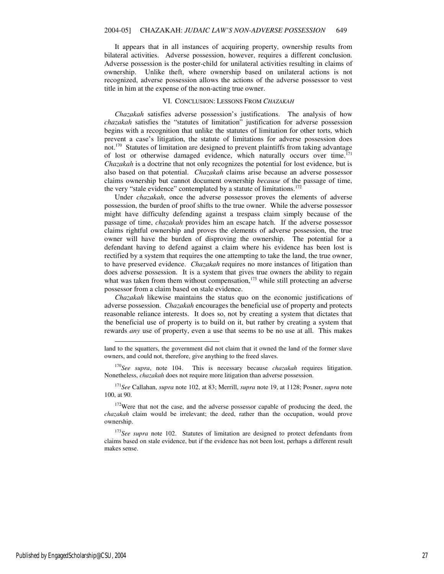It appears that in all instances of acquiring property, ownership results from bilateral activities. Adverse possession, however, requires a different conclusion. Adverse possession is the poster-child for unilateral activities resulting in claims of ownership. Unlike theft, where ownership based on unilateral actions is not recognized, adverse possession allows the actions of the adverse possessor to vest title in him at the expense of the non-acting true owner.

#### VI. CONCLUSION: LESSONS FROM *CHAZAKAH*

*Chazakah* satisfies adverse possession's justifications. The analysis of how *chazakah* satisfies the "statutes of limitation" justification for adverse possession begins with a recognition that unlike the statutes of limitation for other torts, which prevent a case's litigation, the statute of limitations for adverse possession does not.<sup>170</sup> Statutes of limitation are designed to prevent plaintiffs from taking advantage of lost or otherwise damaged evidence, which naturally occurs over time.<sup>171</sup> *Chazakah* is a doctrine that not only recognizes the potential for lost evidence, but is also based on that potential. *Chazakah* claims arise because an adverse possessor claims ownership but cannot document ownership *because* of the passage of time, the very "stale evidence" contemplated by a statute of limitations. $172$ 

Under *chazakah*, once the adverse possessor proves the elements of adverse possession, the burden of proof shifts to the true owner. While the adverse possessor might have difficulty defending against a trespass claim simply because of the passage of time, *chazakah* provides him an escape hatch. If the adverse possessor claims rightful ownership and proves the elements of adverse possession, the true owner will have the burden of disproving the ownership. The potential for a defendant having to defend against a claim where his evidence has been lost is rectified by a system that requires the one attempting to take the land, the true owner, to have preserved evidence. *Chazakah* requires no more instances of litigation than does adverse possession. It is a system that gives true owners the ability to regain what was taken from them without compensation,<sup>173</sup> while still protecting an adverse possessor from a claim based on stale evidence.

*Chazakah* likewise maintains the status quo on the economic justifications of adverse possession. *Chazakah* encourages the beneficial use of property and protects reasonable reliance interests. It does so, not by creating a system that dictates that the beneficial use of property is to build on it, but rather by creating a system that rewards *any* use of property, even a use that seems to be no use at all. This makes

<sup>170</sup>*See supra*, note 104. This is necessary because *chazakah* requires litigation. Nonetheless, *chazakah* does not require more litigation than adverse possession.

<sup>171</sup>*See* Callahan, *supra* note 102, at 83; Merrill, *supra* note 19, at 1128; Posner, *supra* note 100, at 90.

<sup>172</sup>Were that not the case, and the adverse possessor capable of producing the deed, the *chazakah* claim would be irrelevant; the deed, rather than the occupation, would prove ownership.

<sup>173</sup>*See supra* note 102.Statutes of limitation are designed to protect defendants from claims based on stale evidence, but if the evidence has not been lost, perhaps a different result makes sense.

-

land to the squatters, the government did not claim that it owned the land of the former slave owners, and could not, therefore, give anything to the freed slaves.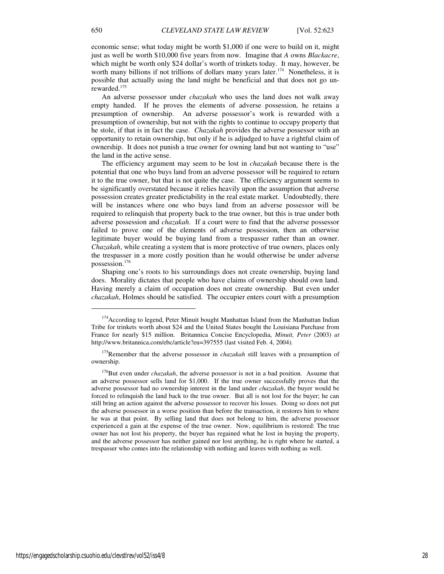economic sense; what today might be worth \$1,000 if one were to build on it, might just as well be worth \$10,000 five years from now. Imagine that *A* owns *Blackacre*, which might be worth only \$24 dollar's worth of trinkets today. It may, however, be worth many billions if not trillions of dollars many years later.<sup>174</sup> Nonetheless, it is possible that actually using the land might be beneficial and that does not go unrewarded.<sup>175</sup>

An adverse possessor under *chazakah* who uses the land does not walk away empty handed. If he proves the elements of adverse possession, he retains a presumption of ownership. An adverse possessor's work is rewarded with a presumption of ownership, but not with the rights to continue to occupy property that he stole, if that is in fact the case. *Chazakah* provides the adverse possessor with an opportunity to retain ownership, but only if he is adjudged to have a rightful claim of ownership. It does not punish a true owner for owning land but not wanting to "use" the land in the active sense.

The efficiency argument may seem to be lost in *chazakah* because there is the potential that one who buys land from an adverse possessor will be required to return it to the true owner, but that is not quite the case. The efficiency argument seems to be significantly overstated because it relies heavily upon the assumption that adverse possession creates greater predictability in the real estate market. Undoubtedly, there will be instances where one who buys land from an adverse possessor will be required to relinquish that property back to the true owner, but this is true under both adverse possession and *chazakah*. If a court were to find that the adverse possessor failed to prove one of the elements of adverse possession, then an otherwise legitimate buyer would be buying land from a trespasser rather than an owner. *Chazakah*, while creating a system that is more protective of true owners, places only the trespasser in a more costly position than he would otherwise be under adverse possession.<sup>176</sup>

Shaping one's roots to his surroundings does not create ownership, buying land does. Morality dictates that people who have claims of ownership should own land. Having merely a claim of occupation does not create ownership. But even under *chazakah*, Holmes should be satisfied. The occupier enters court with a presumption

1

<sup>&</sup>lt;sup>174</sup> According to legend, Peter Minuit bought Manhattan Island from the Manhattan Indian Tribe for trinkets worth about \$24 and the United States bought the Louisiana Purchase from France for nearly \$15 million. Britannica Concise Encyclopedia, *Minuit, Peter* (2003) *at* http://www.britannica.com/ebc/article?eu=397555 (last visited Feb. 4, 2004).

<sup>&</sup>lt;sup>175</sup>Remember that the adverse possessor in *chazakah* still leaves with a presumption of ownership.

<sup>&</sup>lt;sup>176</sup>But even under *chazakah*, the adverse possessor is not in a bad position. Assume that an adverse possessor sells land for \$1,000. If the true owner successfully proves that the adverse possessor had no ownership interest in the land under *chazakah*, the buyer would be forced to relinquish the land back to the true owner. But all is not lost for the buyer; he can still bring an action against the adverse possessor to recover his losses. Doing so does not put the adverse possessor in a worse position than before the transaction, it restores him to where he was at that point. By selling land that does not belong to him, the adverse possessor experienced a gain at the expense of the true owner. Now, equilibrium is restored: The true owner has not lost his property, the buyer has regained what he lost in buying the property, and the adverse possessor has neither gained nor lost anything, he is right where he started, a trespasser who comes into the relationship with nothing and leaves with nothing as well.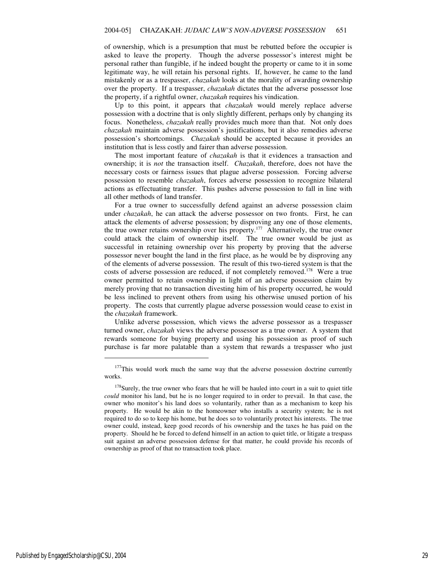of ownership, which is a presumption that must be rebutted before the occupier is asked to leave the property. Though the adverse possessor's interest might be personal rather than fungible, if he indeed bought the property or came to it in some legitimate way, he will retain his personal rights. If, however, he came to the land mistakenly or as a trespasser, *chazakah* looks at the morality of awarding ownership over the property. If a trespasser, *chazakah* dictates that the adverse possessor lose the property, if a rightful owner, *chazakah* requires his vindication.

Up to this point, it appears that *chazakah* would merely replace adverse possession with a doctrine that is only slightly different, perhaps only by changing its focus. Nonetheless, *chazakah* really provides much more than that. Not only does *chazakah* maintain adverse possession's justifications, but it also remedies adverse possession's shortcomings. *Chazakah* should be accepted because it provides an institution that is less costly and fairer than adverse possession.

The most important feature of *chazakah* is that it evidences a transaction and ownership; it is *not* the transaction itself. *Chazakah*, therefore, does not have the necessary costs or fairness issues that plague adverse possession. Forcing adverse possession to resemble *chazakah*, forces adverse possession to recognize bilateral actions as effectuating transfer. This pushes adverse possession to fall in line with all other methods of land transfer.

For a true owner to successfully defend against an adverse possession claim under *chazakah*, he can attack the adverse possessor on two fronts. First, he can attack the elements of adverse possession; by disproving any one of those elements, the true owner retains ownership over his property.<sup>177</sup> Alternatively, the true owner could attack the claim of ownership itself. The true owner would be just as successful in retaining ownership over his property by proving that the adverse possessor never bought the land in the first place, as he would be by disproving any of the elements of adverse possession. The result of this two-tiered system is that the costs of adverse possession are reduced, if not completely removed.<sup>178</sup> Were a true owner permitted to retain ownership in light of an adverse possession claim by merely proving that no transaction divesting him of his property occurred, he would be less inclined to prevent others from using his otherwise unused portion of his property. The costs that currently plague adverse possession would cease to exist in the *chazakah* framework.

Unlike adverse possession, which views the adverse possessor as a trespasser turned owner, *chazakah* views the adverse possessor as a true owner. A system that rewards someone for buying property and using his possession as proof of such purchase is far more palatable than a system that rewards a trespasser who just

j

<sup>&</sup>lt;sup>177</sup>This would work much the same way that the adverse possession doctrine currently works.

<sup>&</sup>lt;sup>178</sup>Surely, the true owner who fears that he will be hauled into court in a suit to quiet title *could* monitor his land, but he is no longer required to in order to prevail. In that case, the owner who monitor's his land does so voluntarily, rather than as a mechanism to keep his property. He would be akin to the homeowner who installs a security system; he is not required to do so to keep his home, but he does so to voluntarily protect his interests. The true owner could, instead, keep good records of his ownership and the taxes he has paid on the property. Should he be forced to defend himself in an action to quiet title, or litigate a trespass suit against an adverse possession defense for that matter, he could provide his records of ownership as proof of that no transaction took place.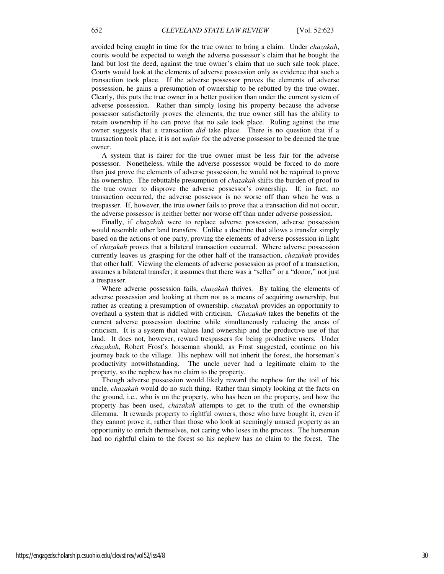avoided being caught in time for the true owner to bring a claim. Under *chazakah*, courts would be expected to weigh the adverse possessor's claim that he bought the land but lost the deed, against the true owner's claim that no such sale took place. Courts would look at the elements of adverse possession only as evidence that such a transaction took place. If the adverse possessor proves the elements of adverse possession, he gains a presumption of ownership to be rebutted by the true owner. Clearly, this puts the true owner in a better position than under the current system of adverse possession. Rather than simply losing his property because the adverse possessor satisfactorily proves the elements, the true owner still has the ability to retain ownership if he can prove that no sale took place. Ruling against the true owner suggests that a transaction *did* take place. There is no question that if a transaction took place, it is not *unfair* for the adverse possessor to be deemed the true owner.

A system that is fairer for the true owner must be less fair for the adverse possessor. Nonetheless, while the adverse possessor would be forced to do more than just prove the elements of adverse possession, he would not be required to prove his ownership. The rebuttable presumption of *chazakah* shifts the burden of proof to the true owner to disprove the adverse possessor's ownership. If, in fact, no transaction occurred, the adverse possessor is no worse off than when he was a trespasser. If, however, the true owner fails to prove that a transaction did not occur, the adverse possessor is neither better nor worse off than under adverse possession.

Finally, if *chazakah* were to replace adverse possession, adverse possession would resemble other land transfers. Unlike a doctrine that allows a transfer simply based on the actions of one party, proving the elements of adverse possession in light of *chazakah* proves that a bilateral transaction occurred. Where adverse possession currently leaves us grasping for the other half of the transaction, *chazakah* provides that other half. Viewing the elements of adverse possession as proof of a transaction, assumes a bilateral transfer; it assumes that there was a "seller" or a "donor," not just a trespasser.

Where adverse possession fails, *chazakah* thrives. By taking the elements of adverse possession and looking at them not as a means of acquiring ownership, but rather as creating a presumption of ownership, *chazakah* provides an opportunity to overhaul a system that is riddled with criticism. *Chazakah* takes the benefits of the current adverse possession doctrine while simultaneously reducing the areas of criticism. It is a system that values land ownership and the productive use of that land. It does not, however, reward trespassers for being productive users. Under *chazakah*, Robert Frost's horseman should, as Frost suggested, continue on his journey back to the village. His nephew will not inherit the forest, the horseman's productivity notwithstanding. The uncle never had a legitimate claim to the property, so the nephew has no claim to the property.

Though adverse possession would likely reward the nephew for the toil of his uncle, *chazakah* would do no such thing. Rather than simply looking at the facts on the ground, i.e., who is on the property, who has been on the property, and how the property has been used, *chazakah* attempts to get to the truth of the ownership dilemma. It rewards property to rightful owners, those who have bought it, even if they cannot prove it, rather than those who look at seemingly unused property as an opportunity to enrich themselves, not caring who loses in the process. The horseman had no rightful claim to the forest so his nephew has no claim to the forest. The